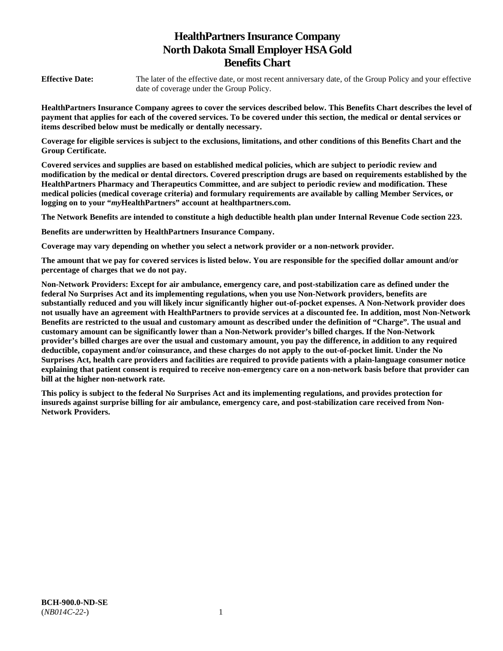# **HealthPartners Insurance Company North Dakota Small Employer HSA Gold Benefits Chart**

**Effective Date:** The later of the effective date, or most recent anniversary date, of the Group Policy and your effective date of coverage under the Group Policy.

**HealthPartners Insurance Company agrees to cover the services described below. This Benefits Chart describes the level of payment that applies for each of the covered services. To be covered under this section, the medical or dental services or items described below must be medically or dentally necessary.** 

**Coverage for eligible services is subject to the exclusions, limitations, and other conditions of this Benefits Chart and the Group Certificate.** 

**Covered services and supplies are based on established medical policies, which are subject to periodic review and modification by the medical or dental directors. Covered prescription drugs are based on requirements established by the HealthPartners Pharmacy and Therapeutics Committee, and are subject to periodic review and modification. These medical policies (medical coverage criteria) and formulary requirements are available by calling Member Services, or logging on to your "***my***HealthPartners" account at [healthpartners.com.](http://healthpartners.com/)** 

**The Network Benefits are intended to constitute a high deductible health plan under Internal Revenue Code section 223.**

**Benefits are underwritten by HealthPartners Insurance Company.** 

**Coverage may vary depending on whether you select a network provider or a non-network provider.** 

**The amount that we pay for covered services is listed below. You are responsible for the specified dollar amount and/or percentage of charges that we do not pay.** 

**Non-Network Providers: Except for air ambulance, emergency care, and post-stabilization care as defined under the federal No Surprises Act and its implementing regulations, when you use Non-Network providers, benefits are substantially reduced and you will likely incur significantly higher out-of-pocket expenses. A Non-Network provider does not usually have an agreement with HealthPartners to provide services at a discounted fee. In addition, most Non-Network Benefits are restricted to the usual and customary amount as described under the definition of "Charge". The usual and customary amount can be significantly lower than a Non-Network provider's billed charges. If the Non-Network provider's billed charges are over the usual and customary amount, you pay the difference, in addition to any required deductible, copayment and/or coinsurance, and these charges do not apply to the out-of-pocket limit. Under the No Surprises Act, health care providers and facilities are required to provide patients with a plain-language consumer notice explaining that patient consent is required to receive non-emergency care on a non-network basis before that provider can bill at the higher non-network rate.** 

**This policy is subject to the federal No Surprises Act and its implementing regulations, and provides protection for insureds against surprise billing for air ambulance, emergency care, and post-stabilization care received from Non-Network Providers.**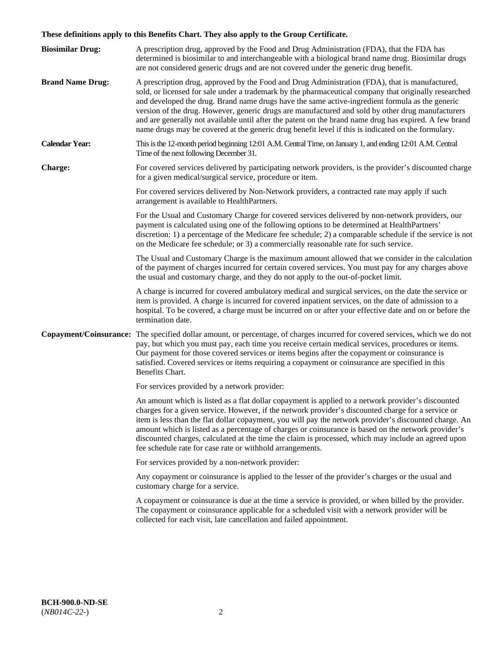# **These definitions apply to this Benefits Chart. They also apply to the Group Certificate.**

| <b>Biosimilar Drug:</b> | A prescription drug, approved by the Food and Drug Administration (FDA), that the FDA has<br>determined is biosimilar to and interchangeable with a biological brand name drug. Biosimilar drugs<br>are not considered generic drugs and are not covered under the generic drug benefit.                                                                                                                                                                                                                                                                                                                                        |
|-------------------------|---------------------------------------------------------------------------------------------------------------------------------------------------------------------------------------------------------------------------------------------------------------------------------------------------------------------------------------------------------------------------------------------------------------------------------------------------------------------------------------------------------------------------------------------------------------------------------------------------------------------------------|
| <b>Brand Name Drug:</b> | A prescription drug, approved by the Food and Drug Administration (FDA), that is manufactured,<br>sold, or licensed for sale under a trademark by the pharmaceutical company that originally researched<br>and developed the drug. Brand name drugs have the same active-ingredient formula as the generic<br>version of the drug. However, generic drugs are manufactured and sold by other drug manufacturers<br>and are generally not available until after the patent on the brand name drug has expired. A few brand<br>name drugs may be covered at the generic drug benefit level if this is indicated on the formulary. |
| <b>Calendar Year:</b>   | This is the 12-month period beginning 12:01 A.M. Central Time, on January 1, and ending 12:01 A.M. Central<br>Time of the next following December 31.                                                                                                                                                                                                                                                                                                                                                                                                                                                                           |
| <b>Charge:</b>          | For covered services delivered by participating network providers, is the provider's discounted charge<br>for a given medical/surgical service, procedure or item.                                                                                                                                                                                                                                                                                                                                                                                                                                                              |
|                         | For covered services delivered by Non-Network providers, a contracted rate may apply if such<br>arrangement is available to HealthPartners.                                                                                                                                                                                                                                                                                                                                                                                                                                                                                     |
|                         | For the Usual and Customary Charge for covered services delivered by non-network providers, our<br>payment is calculated using one of the following options to be determined at HealthPartners'<br>discretion: 1) a percentage of the Medicare fee schedule; 2) a comparable schedule if the service is not<br>on the Medicare fee schedule; or 3) a commercially reasonable rate for such service.                                                                                                                                                                                                                             |
|                         | The Usual and Customary Charge is the maximum amount allowed that we consider in the calculation<br>of the payment of charges incurred for certain covered services. You must pay for any charges above<br>the usual and customary charge, and they do not apply to the out-of-pocket limit.                                                                                                                                                                                                                                                                                                                                    |
|                         | A charge is incurred for covered ambulatory medical and surgical services, on the date the service or<br>item is provided. A charge is incurred for covered inpatient services, on the date of admission to a<br>hospital. To be covered, a charge must be incurred on or after your effective date and on or before the<br>termination date.                                                                                                                                                                                                                                                                                   |
|                         | Copayment/Coinsurance: The specified dollar amount, or percentage, of charges incurred for covered services, which we do not<br>pay, but which you must pay, each time you receive certain medical services, procedures or items.<br>Our payment for those covered services or items begins after the copayment or coinsurance is<br>satisfied. Covered services or items requiring a copayment or coinsurance are specified in this<br>Benefits Chart.                                                                                                                                                                         |
|                         | For services provided by a network provider:                                                                                                                                                                                                                                                                                                                                                                                                                                                                                                                                                                                    |
|                         | An amount which is listed as a flat dollar copayment is applied to a network provider's discounted<br>charges for a given service. However, if the network provider's discounted charge for a service or<br>item is less than the flat dollar copayment, you will pay the network provider's discounted charge. An<br>amount which is listed as a percentage of charges or coinsurance is based on the network provider's<br>discounted charges, calculated at the time the claim is processed, which may include an agreed upon<br>fee schedule rate for case rate or withhold arrangements.                                   |
|                         | For services provided by a non-network provider:                                                                                                                                                                                                                                                                                                                                                                                                                                                                                                                                                                                |
|                         | Any copayment or coinsurance is applied to the lesser of the provider's charges or the usual and<br>customary charge for a service.                                                                                                                                                                                                                                                                                                                                                                                                                                                                                             |
|                         | A copayment or coinsurance is due at the time a service is provided, or when billed by the provider.<br>The copayment or coinsurance applicable for a scheduled visit with a network provider will be<br>collected for each visit, late cancellation and failed appointment.                                                                                                                                                                                                                                                                                                                                                    |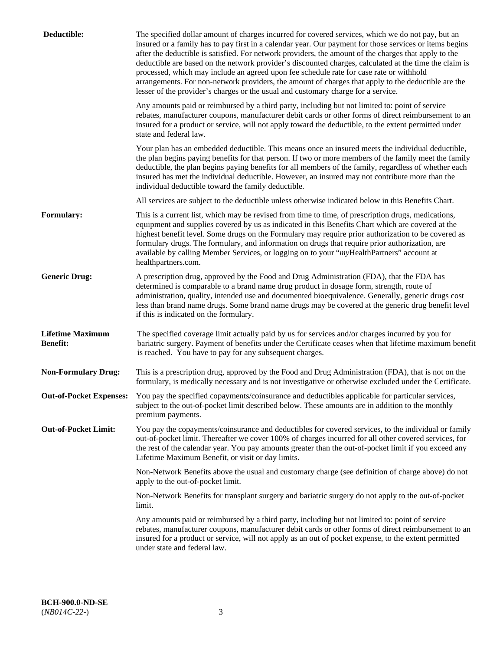| Deductible:                                | The specified dollar amount of charges incurred for covered services, which we do not pay, but an<br>insured or a family has to pay first in a calendar year. Our payment for those services or items begins<br>after the deductible is satisfied. For network providers, the amount of the charges that apply to the<br>deductible are based on the network provider's discounted charges, calculated at the time the claim is<br>processed, which may include an agreed upon fee schedule rate for case rate or withhold<br>arrangements. For non-network providers, the amount of charges that apply to the deductible are the<br>lesser of the provider's charges or the usual and customary charge for a service. |
|--------------------------------------------|------------------------------------------------------------------------------------------------------------------------------------------------------------------------------------------------------------------------------------------------------------------------------------------------------------------------------------------------------------------------------------------------------------------------------------------------------------------------------------------------------------------------------------------------------------------------------------------------------------------------------------------------------------------------------------------------------------------------|
|                                            | Any amounts paid or reimbursed by a third party, including but not limited to: point of service<br>rebates, manufacturer coupons, manufacturer debit cards or other forms of direct reimbursement to an<br>insured for a product or service, will not apply toward the deductible, to the extent permitted under<br>state and federal law.                                                                                                                                                                                                                                                                                                                                                                             |
|                                            | Your plan has an embedded deductible. This means once an insured meets the individual deductible,<br>the plan begins paying benefits for that person. If two or more members of the family meet the family<br>deductible, the plan begins paying benefits for all members of the family, regardless of whether each<br>insured has met the individual deductible. However, an insured may not contribute more than the<br>individual deductible toward the family deductible.                                                                                                                                                                                                                                          |
|                                            | All services are subject to the deductible unless otherwise indicated below in this Benefits Chart.                                                                                                                                                                                                                                                                                                                                                                                                                                                                                                                                                                                                                    |
| <b>Formulary:</b>                          | This is a current list, which may be revised from time to time, of prescription drugs, medications,<br>equipment and supplies covered by us as indicated in this Benefits Chart which are covered at the<br>highest benefit level. Some drugs on the Formulary may require prior authorization to be covered as<br>formulary drugs. The formulary, and information on drugs that require prior authorization, are<br>available by calling Member Services, or logging on to your "myHealthPartners" account at<br>healthpartners.com.                                                                                                                                                                                  |
| <b>Generic Drug:</b>                       | A prescription drug, approved by the Food and Drug Administration (FDA), that the FDA has<br>determined is comparable to a brand name drug product in dosage form, strength, route of<br>administration, quality, intended use and documented bioequivalence. Generally, generic drugs cost<br>less than brand name drugs. Some brand name drugs may be covered at the generic drug benefit level<br>if this is indicated on the formulary.                                                                                                                                                                                                                                                                            |
| <b>Lifetime Maximum</b><br><b>Benefit:</b> | The specified coverage limit actually paid by us for services and/or charges incurred by you for<br>bariatric surgery. Payment of benefits under the Certificate ceases when that lifetime maximum benefit<br>is reached. You have to pay for any subsequent charges.                                                                                                                                                                                                                                                                                                                                                                                                                                                  |
| <b>Non-Formulary Drug:</b>                 | This is a prescription drug, approved by the Food and Drug Administration (FDA), that is not on the<br>formulary, is medically necessary and is not investigative or otherwise excluded under the Certificate.                                                                                                                                                                                                                                                                                                                                                                                                                                                                                                         |
|                                            | Out-of-Pocket Expenses: You pay the specified copayments/coinsurance and deductibles applicable for particular services,<br>subject to the out-of-pocket limit described below. These amounts are in addition to the monthly<br>premium payments.                                                                                                                                                                                                                                                                                                                                                                                                                                                                      |
| <b>Out-of-Pocket Limit:</b>                | You pay the copayments/coinsurance and deductibles for covered services, to the individual or family<br>out-of-pocket limit. Thereafter we cover 100% of charges incurred for all other covered services, for<br>the rest of the calendar year. You pay amounts greater than the out-of-pocket limit if you exceed any<br>Lifetime Maximum Benefit, or visit or day limits.                                                                                                                                                                                                                                                                                                                                            |
|                                            | Non-Network Benefits above the usual and customary charge (see definition of charge above) do not<br>apply to the out-of-pocket limit.                                                                                                                                                                                                                                                                                                                                                                                                                                                                                                                                                                                 |
|                                            | Non-Network Benefits for transplant surgery and bariatric surgery do not apply to the out-of-pocket<br>limit.                                                                                                                                                                                                                                                                                                                                                                                                                                                                                                                                                                                                          |
|                                            | Any amounts paid or reimbursed by a third party, including but not limited to: point of service<br>rebates, manufacturer coupons, manufacturer debit cards or other forms of direct reimbursement to an<br>insured for a product or service, will not apply as an out of pocket expense, to the extent permitted<br>under state and federal law.                                                                                                                                                                                                                                                                                                                                                                       |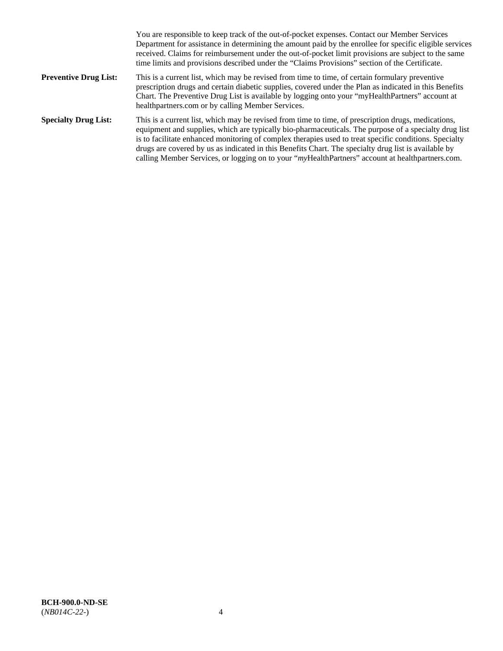|                              | You are responsible to keep track of the out-of-pocket expenses. Contact our Member Services<br>Department for assistance in determining the amount paid by the enrollee for specific eligible services<br>received. Claims for reimbursement under the out-of-pocket limit provisions are subject to the same<br>time limits and provisions described under the "Claims Provisions" section of the Certificate.                                                                                                                   |
|------------------------------|------------------------------------------------------------------------------------------------------------------------------------------------------------------------------------------------------------------------------------------------------------------------------------------------------------------------------------------------------------------------------------------------------------------------------------------------------------------------------------------------------------------------------------|
| <b>Preventive Drug List:</b> | This is a current list, which may be revised from time to time, of certain formulary preventive<br>prescription drugs and certain diabetic supplies, covered under the Plan as indicated in this Benefits<br>Chart. The Preventive Drug List is available by logging onto your "myHealthPartners" account at<br>healthpartners.com or by calling Member Services.                                                                                                                                                                  |
| <b>Specialty Drug List:</b>  | This is a current list, which may be revised from time to time, of prescription drugs, medications,<br>equipment and supplies, which are typically bio-pharmaceuticals. The purpose of a specialty drug list<br>is to facilitate enhanced monitoring of complex therapies used to treat specific conditions. Specialty<br>drugs are covered by us as indicated in this Benefits Chart. The specialty drug list is available by<br>calling Member Services, or logging on to your "myHealthPartners" account at healthpartners.com. |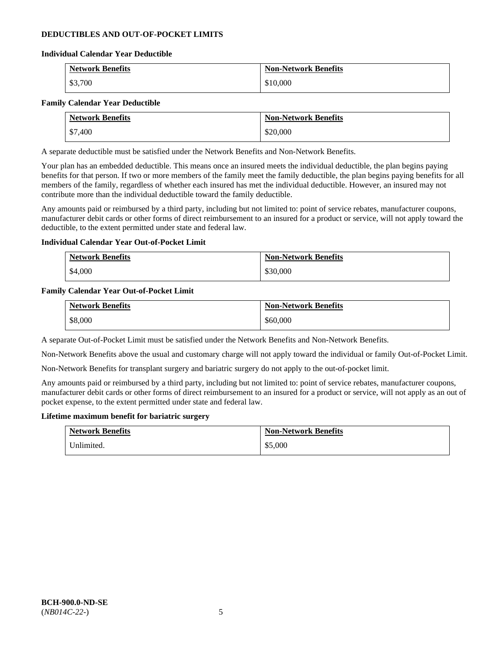# **DEDUCTIBLES AND OUT-OF-POCKET LIMITS**

### **Individual Calendar Year Deductible**

| <b>Network Benefits</b> | <b>Non-Network Benefits</b> |
|-------------------------|-----------------------------|
| \$3,700                 | \$10,000                    |

### **Family Calendar Year Deductible**

| <b>Network Benefits</b> | <b>Non-Network Benefits</b> |
|-------------------------|-----------------------------|
| \$7,400                 | \$20,000                    |

A separate deductible must be satisfied under the Network Benefits and Non-Network Benefits.

Your plan has an embedded deductible. This means once an insured meets the individual deductible, the plan begins paying benefits for that person. If two or more members of the family meet the family deductible, the plan begins paying benefits for all members of the family, regardless of whether each insured has met the individual deductible. However, an insured may not contribute more than the individual deductible toward the family deductible.

Any amounts paid or reimbursed by a third party, including but not limited to: point of service rebates, manufacturer coupons, manufacturer debit cards or other forms of direct reimbursement to an insured for a product or service, will not apply toward the deductible, to the extent permitted under state and federal law.

## **Individual Calendar Year Out-of-Pocket Limit**

| <b>Network Benefits</b> | <b>Non-Network Benefits</b> |
|-------------------------|-----------------------------|
| \$4,000                 | \$30,000                    |

### **Family Calendar Year Out-of-Pocket Limit**

| <b>Network Benefits</b> | <b>Non-Network Benefits</b> |
|-------------------------|-----------------------------|
| \$8,000                 | \$60,000                    |

A separate Out-of-Pocket Limit must be satisfied under the Network Benefits and Non-Network Benefits.

Non-Network Benefits above the usual and customary charge will not apply toward the individual or family Out-of-Pocket Limit.

Non-Network Benefits for transplant surgery and bariatric surgery do not apply to the out-of-pocket limit.

Any amounts paid or reimbursed by a third party, including but not limited to: point of service rebates, manufacturer coupons, manufacturer debit cards or other forms of direct reimbursement to an insured for a product or service, will not apply as an out of pocket expense, to the extent permitted under state and federal law.

#### **Lifetime maximum benefit for bariatric surgery**

| <b>Network Benefits</b> | <b>Non-Network Benefits</b> |
|-------------------------|-----------------------------|
| Unlimited.              | \$5,000                     |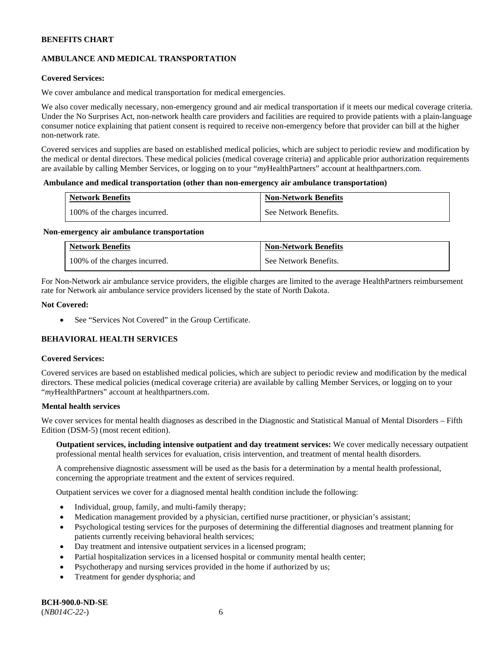# **AMBULANCE AND MEDICAL TRANSPORTATION**

# **Covered Services:**

We cover ambulance and medical transportation for medical emergencies.

We also cover medically necessary, non-emergency ground and air medical transportation if it meets our medical coverage criteria. Under the No Surprises Act, non-network health care providers and facilities are required to provide patients with a plain-language consumer notice explaining that patient consent is required to receive non-emergency before that provider can bill at the higher non-network rate.

Covered services and supplies are based on established medical policies, which are subject to periodic review and modification by the medical or dental directors. These medical policies (medical coverage criteria) and applicable prior authorization requirements are available by calling Member Services, or logging on to your "*my*HealthPartners" account a[t healthpartners.com.](http://www.healthpartners.com/)

### **Ambulance and medical transportation (other than non-emergency air ambulance transportation)**

| <b>Network Benefits</b>       | <b>Non-Network Benefits</b> |
|-------------------------------|-----------------------------|
| 100% of the charges incurred. | See Network Benefits.       |

#### **Non-emergency air ambulance transportation**

| <b>Network Benefits</b>       | <b>Non-Network Benefits</b> |
|-------------------------------|-----------------------------|
| 100% of the charges incurred. | See Network Benefits.       |

For Non-Network air ambulance service providers, the eligible charges are limited to the average HealthPartners reimbursement rate for Network air ambulance service providers licensed by the state of North Dakota.

### **Not Covered:**

• See "Services Not Covered" in the Group Certificate.

# **BEHAVIORAL HEALTH SERVICES**

#### **Covered Services:**

Covered services are based on established medical policies, which are subject to periodic review and modification by the medical directors. These medical policies (medical coverage criteria) are available by calling Member Services, or logging on to your "*my*HealthPartners" account at [healthpartners.com.](http://healthpartners.com/)

# **Mental health services**

We cover services for mental health diagnoses as described in the Diagnostic and Statistical Manual of Mental Disorders – Fifth Edition (DSM-5) (most recent edition).

**Outpatient services, including intensive outpatient and day treatment services:** We cover medically necessary outpatient professional mental health services for evaluation, crisis intervention, and treatment of mental health disorders.

A comprehensive diagnostic assessment will be used as the basis for a determination by a mental health professional, concerning the appropriate treatment and the extent of services required.

Outpatient services we cover for a diagnosed mental health condition include the following:

- Individual, group, family, and multi-family therapy;
- Medication management provided by a physician, certified nurse practitioner, or physician's assistant;
- Psychological testing services for the purposes of determining the differential diagnoses and treatment planning for patients currently receiving behavioral health services;
- Day treatment and intensive outpatient services in a licensed program;
- Partial hospitalization services in a licensed hospital or community mental health center;
- Psychotherapy and nursing services provided in the home if authorized by us;
- Treatment for gender dysphoria; and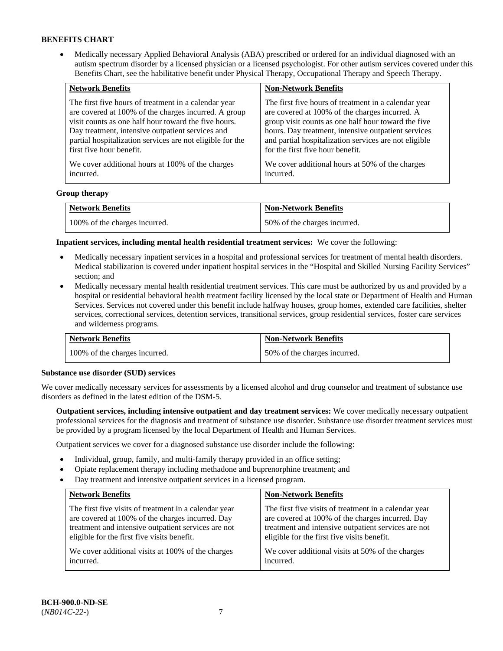• Medically necessary Applied Behavioral Analysis (ABA) prescribed or ordered for an individual diagnosed with an autism spectrum disorder by a licensed physician or a licensed psychologist. For other autism services covered under this Benefits Chart, see the habilitative benefit under Physical Therapy, Occupational Therapy and Speech Therapy.

| <b>Network Benefits</b>                                   | <b>Non-Network Benefits</b>                           |
|-----------------------------------------------------------|-------------------------------------------------------|
| The first five hours of treatment in a calendar year      | The first five hours of treatment in a calendar year  |
| are covered at 100% of the charges incurred. A group      | are covered at 100% of the charges incurred. A        |
| visit counts as one half hour toward the five hours.      | group visit counts as one half hour toward the five   |
| Day treatment, intensive outpatient services and          | hours. Day treatment, intensive outpatient services   |
| partial hospitalization services are not eligible for the | and partial hospitalization services are not eligible |
| first five hour benefit.                                  | for the first five hour benefit.                      |
| We cover additional hours at 100% of the charges          | We cover additional hours at 50% of the charges       |
| incurred.                                                 | incurred.                                             |

### **Group therapy**

| <b>Network Benefits</b>       | <b>Non-Network Benefits</b>  |
|-------------------------------|------------------------------|
| 100% of the charges incurred. | 50% of the charges incurred. |

**Inpatient services, including mental health residential treatment services:** We cover the following:

- Medically necessary inpatient services in a hospital and professional services for treatment of mental health disorders. Medical stabilization is covered under inpatient hospital services in the "Hospital and Skilled Nursing Facility Services" section; and
- Medically necessary mental health residential treatment services. This care must be authorized by us and provided by a hospital or residential behavioral health treatment facility licensed by the local state or Department of Health and Human Services. Services not covered under this benefit include halfway houses, group homes, extended care facilities, shelter services, correctional services, detention services, transitional services, group residential services, foster care services and wilderness programs.

| <b>Network Benefits</b>       | <b>Non-Network Benefits</b>  |
|-------------------------------|------------------------------|
| 100% of the charges incurred. | 50% of the charges incurred. |

#### **Substance use disorder (SUD) services**

We cover medically necessary services for assessments by a licensed alcohol and drug counselor and treatment of substance use disorders as defined in the latest edition of the DSM-5.

**Outpatient services, including intensive outpatient and day treatment services:** We cover medically necessary outpatient professional services for the diagnosis and treatment of substance use disorder. Substance use disorder treatment services must be provided by a program licensed by the local Department of Health and Human Services.

Outpatient services we cover for a diagnosed substance use disorder include the following:

- Individual, group, family, and multi-family therapy provided in an office setting;
- Opiate replacement therapy including methadone and buprenorphine treatment; and
- Day treatment and intensive outpatient services in a licensed program.

| <b>Network Benefits</b>                               | <b>Non-Network Benefits</b>                           |
|-------------------------------------------------------|-------------------------------------------------------|
| The first five visits of treatment in a calendar year | The first five visits of treatment in a calendar year |
| are covered at 100% of the charges incurred. Day      | are covered at 100% of the charges incurred. Day      |
| treatment and intensive outpatient services are not   | treatment and intensive outpatient services are not   |
| eligible for the first five visits benefit.           | eligible for the first five visits benefit.           |
| We cover additional visits at 100% of the charges     | We cover additional visits at 50% of the charges      |
| incurred.                                             | incurred.                                             |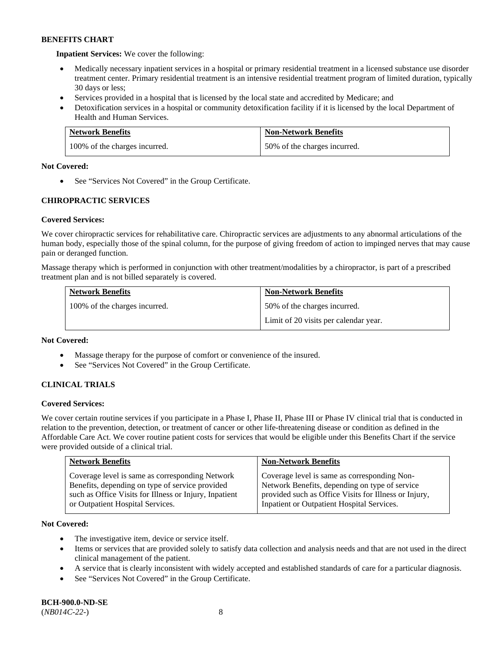**Inpatient Services:** We cover the following:

- Medically necessary inpatient services in a hospital or primary residential treatment in a licensed substance use disorder treatment center. Primary residential treatment is an intensive residential treatment program of limited duration, typically 30 days or less;
- Services provided in a hospital that is licensed by the local state and accredited by Medicare; and
- Detoxification services in a hospital or community detoxification facility if it is licensed by the local Department of Health and Human Services.

| <b>Network Benefits</b>       | <b>Non-Network Benefits</b>  |
|-------------------------------|------------------------------|
| 100% of the charges incurred. | 50% of the charges incurred. |

# **Not Covered:**

• See "Services Not Covered" in the Group Certificate.

# **CHIROPRACTIC SERVICES**

# **Covered Services:**

We cover chiropractic services for rehabilitative care. Chiropractic services are adjustments to any abnormal articulations of the human body, especially those of the spinal column, for the purpose of giving freedom of action to impinged nerves that may cause pain or deranged function.

Massage therapy which is performed in conjunction with other treatment/modalities by a chiropractor, is part of a prescribed treatment plan and is not billed separately is covered.

| <b>Network Benefits</b>       | <b>Non-Network Benefits</b>           |
|-------------------------------|---------------------------------------|
| 100% of the charges incurred. | 50% of the charges incurred.          |
|                               | Limit of 20 visits per calendar year. |

#### **Not Covered:**

- Massage therapy for the purpose of comfort or convenience of the insured.
- See "Services Not Covered" in the Group Certificate.

# **CLINICAL TRIALS**

# **Covered Services:**

We cover certain routine services if you participate in a Phase I, Phase II, Phase III or Phase IV clinical trial that is conducted in relation to the prevention, detection, or treatment of cancer or other life-threatening disease or condition as defined in the Affordable Care Act. We cover routine patient costs for services that would be eligible under this Benefits Chart if the service were provided outside of a clinical trial.

| <b>Network Benefits</b>                                                                                                                                                                          | <b>Non-Network Benefits</b>                                                                                                                                                                           |
|--------------------------------------------------------------------------------------------------------------------------------------------------------------------------------------------------|-------------------------------------------------------------------------------------------------------------------------------------------------------------------------------------------------------|
| Coverage level is same as corresponding Network<br>Benefits, depending on type of service provided<br>such as Office Visits for Illness or Injury, Inpatient<br>or Outpatient Hospital Services. | Coverage level is same as corresponding Non-<br>Network Benefits, depending on type of service<br>provided such as Office Visits for Illness or Injury,<br>Inpatient or Outpatient Hospital Services. |

# **Not Covered:**

- The investigative item, device or service itself.
- Items or services that are provided solely to satisfy data collection and analysis needs and that are not used in the direct clinical management of the patient.
- A service that is clearly inconsistent with widely accepted and established standards of care for a particular diagnosis.
- See "Services Not Covered" in the Group Certificate.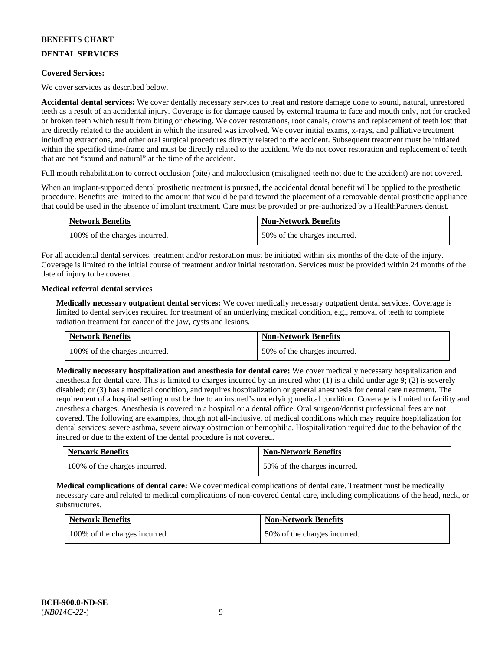# **DENTAL SERVICES**

### **Covered Services:**

We cover services as described below.

**Accidental dental services:** We cover dentally necessary services to treat and restore damage done to sound, natural, unrestored teeth as a result of an accidental injury. Coverage is for damage caused by external trauma to face and mouth only, not for cracked or broken teeth which result from biting or chewing. We cover restorations, root canals, crowns and replacement of teeth lost that are directly related to the accident in which the insured was involved. We cover initial exams, x-rays, and palliative treatment including extractions, and other oral surgical procedures directly related to the accident. Subsequent treatment must be initiated within the specified time-frame and must be directly related to the accident. We do not cover restoration and replacement of teeth that are not "sound and natural" at the time of the accident.

Full mouth rehabilitation to correct occlusion (bite) and malocclusion (misaligned teeth not due to the accident) are not covered.

When an implant-supported dental prosthetic treatment is pursued, the accidental dental benefit will be applied to the prosthetic procedure. Benefits are limited to the amount that would be paid toward the placement of a removable dental prosthetic appliance that could be used in the absence of implant treatment. Care must be provided or pre-authorized by a HealthPartners dentist.

| <b>Network Benefits</b>       | <b>Non-Network Benefits</b>  |
|-------------------------------|------------------------------|
| 100% of the charges incurred. | 50% of the charges incurred. |

For all accidental dental services, treatment and/or restoration must be initiated within six months of the date of the injury. Coverage is limited to the initial course of treatment and/or initial restoration. Services must be provided within 24 months of the date of injury to be covered.

### **Medical referral dental services**

**Medically necessary outpatient dental services:** We cover medically necessary outpatient dental services. Coverage is limited to dental services required for treatment of an underlying medical condition, e.g., removal of teeth to complete radiation treatment for cancer of the jaw, cysts and lesions.

| <b>Network Benefits</b>       | <b>Non-Network Benefits</b>  |
|-------------------------------|------------------------------|
| 100% of the charges incurred. | 50% of the charges incurred. |

**Medically necessary hospitalization and anesthesia for dental care:** We cover medically necessary hospitalization and anesthesia for dental care. This is limited to charges incurred by an insured who: (1) is a child under age 9; (2) is severely disabled; or (3) has a medical condition, and requires hospitalization or general anesthesia for dental care treatment. The requirement of a hospital setting must be due to an insured's underlying medical condition. Coverage is limited to facility and anesthesia charges. Anesthesia is covered in a hospital or a dental office. Oral surgeon/dentist professional fees are not covered. The following are examples, though not all-inclusive, of medical conditions which may require hospitalization for dental services: severe asthma, severe airway obstruction or hemophilia. Hospitalization required due to the behavior of the insured or due to the extent of the dental procedure is not covered.

| <b>Network Benefits</b>       | <b>Non-Network Benefits</b>  |
|-------------------------------|------------------------------|
| 100% of the charges incurred. | 50% of the charges incurred. |

**Medical complications of dental care:** We cover medical complications of dental care. Treatment must be medically necessary care and related to medical complications of non-covered dental care, including complications of the head, neck, or substructures.

| Network Benefits              | <b>Non-Network Benefits</b>  |
|-------------------------------|------------------------------|
| 100% of the charges incurred. | 50% of the charges incurred. |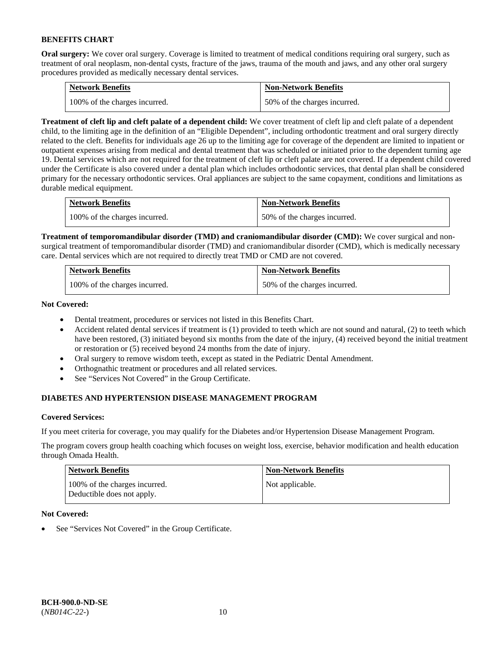**Oral surgery:** We cover oral surgery. Coverage is limited to treatment of medical conditions requiring oral surgery, such as treatment of oral neoplasm, non-dental cysts, fracture of the jaws, trauma of the mouth and jaws, and any other oral surgery procedures provided as medically necessary dental services.

| <b>Network Benefits</b>       | <b>Non-Network Benefits</b>  |
|-------------------------------|------------------------------|
| 100% of the charges incurred. | 50% of the charges incurred. |

**Treatment of cleft lip and cleft palate of a dependent child:** We cover treatment of cleft lip and cleft palate of a dependent child, to the limiting age in the definition of an "Eligible Dependent", including orthodontic treatment and oral surgery directly related to the cleft. Benefits for individuals age 26 up to the limiting age for coverage of the dependent are limited to inpatient or outpatient expenses arising from medical and dental treatment that was scheduled or initiated prior to the dependent turning age 19. Dental services which are not required for the treatment of cleft lip or cleft palate are not covered. If a dependent child covered under the Certificate is also covered under a dental plan which includes orthodontic services, that dental plan shall be considered primary for the necessary orthodontic services. Oral appliances are subject to the same copayment, conditions and limitations as durable medical equipment.

| <b>Network Benefits</b>       | <b>Non-Network Benefits</b>  |
|-------------------------------|------------------------------|
| 100% of the charges incurred. | 50% of the charges incurred. |

**Treatment of temporomandibular disorder (TMD) and craniomandibular disorder (CMD):** We cover surgical and nonsurgical treatment of temporomandibular disorder (TMD) and craniomandibular disorder (CMD), which is medically necessary care. Dental services which are not required to directly treat TMD or CMD are not covered.

| <b>Network Benefits</b>       | <b>Non-Network Benefits</b>  |
|-------------------------------|------------------------------|
| 100% of the charges incurred. | 50% of the charges incurred. |

**Not Covered:** 

- Dental treatment, procedures or services not listed in this Benefits Chart.
- Accident related dental services if treatment is (1) provided to teeth which are not sound and natural, (2) to teeth which have been restored, (3) initiated beyond six months from the date of the injury, (4) received beyond the initial treatment or restoration or (5) received beyond 24 months from the date of injury.
- Oral surgery to remove wisdom teeth, except as stated in the Pediatric Dental Amendment.
- Orthognathic treatment or procedures and all related services.
- See "Services Not Covered" in the Group Certificate.

# **DIABETES AND HYPERTENSION DISEASE MANAGEMENT PROGRAM**

# **Covered Services:**

If you meet criteria for coverage, you may qualify for the Diabetes and/or Hypertension Disease Management Program.

The program covers group health coaching which focuses on weight loss, exercise, behavior modification and health education through Omada Health.

| <b>Network Benefits</b>                                     | <b>Non-Network Benefits</b> |
|-------------------------------------------------------------|-----------------------------|
| 100% of the charges incurred.<br>Deductible does not apply. | Not applicable.             |

# **Not Covered:**

See "Services Not Covered" in the Group Certificate.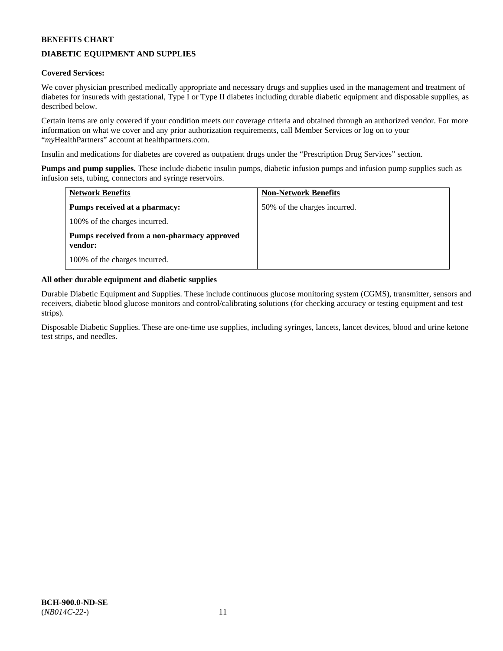# **DIABETIC EQUIPMENT AND SUPPLIES**

# **Covered Services:**

We cover physician prescribed medically appropriate and necessary drugs and supplies used in the management and treatment of diabetes for insureds with gestational, Type I or Type II diabetes including durable diabetic equipment and disposable supplies, as described below.

Certain items are only covered if your condition meets our coverage criteria and obtained through an authorized vendor. For more information on what we cover and any prior authorization requirements, call Member Services or log on to your "*my*HealthPartners" account at [healthpartners.com.](http://www.healthpartners.com/)

Insulin and medications for diabetes are covered as outpatient drugs under the "Prescription Drug Services" section.

**Pumps and pump supplies.** These include diabetic insulin pumps, diabetic infusion pumps and infusion pump supplies such as infusion sets, tubing, connectors and syringe reservoirs.

| <b>Network Benefits</b>                                | <b>Non-Network Benefits</b>  |
|--------------------------------------------------------|------------------------------|
| <b>Pumps received at a pharmacy:</b>                   | 50% of the charges incurred. |
| 100% of the charges incurred.                          |                              |
| Pumps received from a non-pharmacy approved<br>vendor: |                              |
| 100% of the charges incurred.                          |                              |

# **All other durable equipment and diabetic supplies**

Durable Diabetic Equipment and Supplies. These include continuous glucose monitoring system (CGMS), transmitter, sensors and receivers, diabetic blood glucose monitors and control/calibrating solutions (for checking accuracy or testing equipment and test strips).

Disposable Diabetic Supplies. These are one-time use supplies, including syringes, lancets, lancet devices, blood and urine ketone test strips, and needles.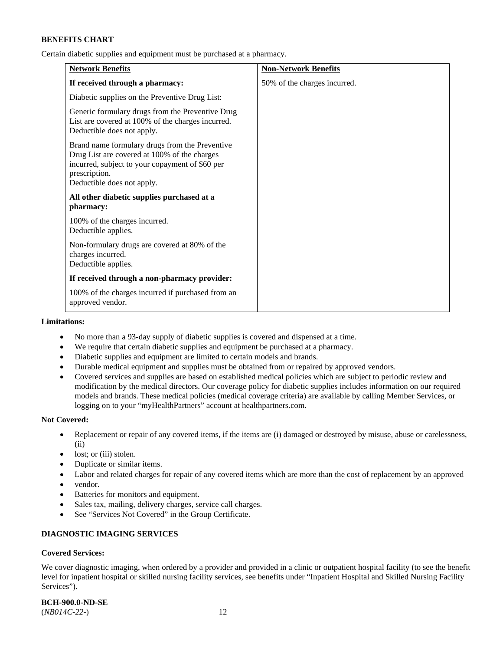Certain diabetic supplies and equipment must be purchased at a pharmacy.

| <b>Network Benefits</b>                                                                                                                                                                          | <b>Non-Network Benefits</b>  |
|--------------------------------------------------------------------------------------------------------------------------------------------------------------------------------------------------|------------------------------|
| If received through a pharmacy:                                                                                                                                                                  | 50% of the charges incurred. |
| Diabetic supplies on the Preventive Drug List:                                                                                                                                                   |                              |
| Generic formulary drugs from the Preventive Drug<br>List are covered at 100% of the charges incurred.<br>Deductible does not apply.                                                              |                              |
| Brand name formulary drugs from the Preventive<br>Drug List are covered at 100% of the charges<br>incurred, subject to your copayment of \$60 per<br>prescription.<br>Deductible does not apply. |                              |
| All other diabetic supplies purchased at a<br>pharmacy:                                                                                                                                          |                              |
| 100% of the charges incurred.<br>Deductible applies.                                                                                                                                             |                              |
| Non-formulary drugs are covered at 80% of the<br>charges incurred.<br>Deductible applies.                                                                                                        |                              |
| If received through a non-pharmacy provider:                                                                                                                                                     |                              |
| 100% of the charges incurred if purchased from an<br>approved vendor.                                                                                                                            |                              |

#### **Limitations:**

- No more than a 93-day supply of diabetic supplies is covered and dispensed at a time.
- We require that certain diabetic supplies and equipment be purchased at a pharmacy.
- Diabetic supplies and equipment are limited to certain models and brands.
- Durable medical equipment and supplies must be obtained from or repaired by approved vendors.
- Covered services and supplies are based on established medical policies which are subject to periodic review and modification by the medical directors. Our coverage policy for diabetic supplies includes information on our required models and brands. These medical policies (medical coverage criteria) are available by calling Member Services, or logging on to your "myHealthPartners" account a[t healthpartners.com.](http://www.healthpartners.com/)

### **Not Covered:**

- Replacement or repair of any covered items, if the items are (i) damaged or destroyed by misuse, abuse or carelessness, (ii)
- lost; or (iii) stolen.
- Duplicate or similar items.
- Labor and related charges for repair of any covered items which are more than the cost of replacement by an approved
- vendor.
- Batteries for monitors and equipment.
- Sales tax, mailing, delivery charges, service call charges.
- See "Services Not Covered" in the Group Certificate.

# **DIAGNOSTIC IMAGING SERVICES**

# **Covered Services:**

We cover diagnostic imaging, when ordered by a provider and provided in a clinic or outpatient hospital facility (to see the benefit level for inpatient hospital or skilled nursing facility services, see benefits under "Inpatient Hospital and Skilled Nursing Facility Services").

**BCH-900.0-ND-SE**

(*NB014C-22-*) 12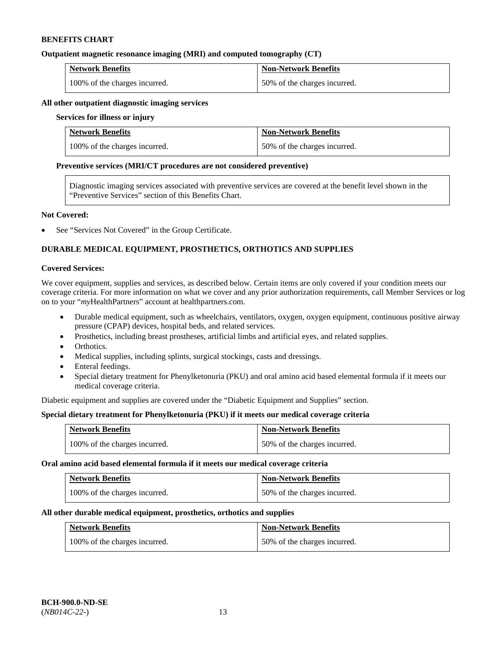### **Outpatient magnetic resonance imaging (MRI) and computed tomography (CT)**

| <b>Network Benefits</b>       | <b>Non-Network Benefits</b>  |
|-------------------------------|------------------------------|
| 100% of the charges incurred. | 50% of the charges incurred. |

#### **All other outpatient diagnostic imaging services**

#### **Services for illness or injury**

| <b>Network Benefits</b>       | <b>Non-Network Benefits</b>  |
|-------------------------------|------------------------------|
| 100% of the charges incurred. | 50% of the charges incurred. |

#### **Preventive services (MRI/CT procedures are not considered preventive)**

Diagnostic imaging services associated with preventive services are covered at the benefit level shown in the "Preventive Services" section of this Benefits Chart.

#### **Not Covered:**

See "Services Not Covered" in the Group Certificate.

# **DURABLE MEDICAL EQUIPMENT, PROSTHETICS, ORTHOTICS AND SUPPLIES**

#### **Covered Services:**

We cover equipment, supplies and services, as described below. Certain items are only covered if your condition meets our coverage criteria. For more information on what we cover and any prior authorization requirements, call Member Services or log on to your "*my*HealthPartners" account at [healthpartners.com.](http://www.healthpartners.com/)

- Durable medical equipment, such as wheelchairs, ventilators, oxygen, oxygen equipment, continuous positive airway pressure (CPAP) devices, hospital beds, and related services.
- Prosthetics, including breast prostheses, artificial limbs and artificial eyes, and related supplies.
- Orthotics.
- Medical supplies, including splints, surgical stockings, casts and dressings.
- Enteral feedings.
- Special dietary treatment for Phenylketonuria (PKU) and oral amino acid based elemental formula if it meets our medical coverage criteria.

Diabetic equipment and supplies are covered under the "Diabetic Equipment and Supplies" section.

# **Special dietary treatment for Phenylketonuria (PKU) if it meets our medical coverage criteria**

| <b>Network Benefits</b>       | <b>Non-Network Benefits</b>  |
|-------------------------------|------------------------------|
| 100% of the charges incurred. | 50% of the charges incurred. |

#### **Oral amino acid based elemental formula if it meets our medical coverage criteria**

| <b>Network Benefits</b>       | Non-Network Benefits         |
|-------------------------------|------------------------------|
| 100% of the charges incurred. | 50% of the charges incurred. |

#### **All other durable medical equipment, prosthetics, orthotics and supplies**

| <b>Network Benefits</b>       | <b>Non-Network Benefits</b>  |
|-------------------------------|------------------------------|
| 100% of the charges incurred. | 50% of the charges incurred. |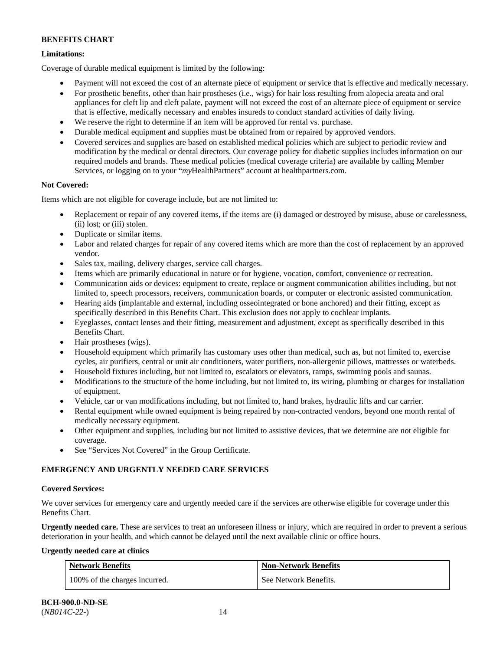# **Limitations:**

Coverage of durable medical equipment is limited by the following:

- Payment will not exceed the cost of an alternate piece of equipment or service that is effective and medically necessary.
- For prosthetic benefits, other than hair prostheses (i.e., wigs) for hair loss resulting from alopecia areata and oral appliances for cleft lip and cleft palate, payment will not exceed the cost of an alternate piece of equipment or service that is effective, medically necessary and enables insureds to conduct standard activities of daily living.
- We reserve the right to determine if an item will be approved for rental vs. purchase.
- Durable medical equipment and supplies must be obtained from or repaired by approved vendors.
- Covered services and supplies are based on established medical policies which are subject to periodic review and modification by the medical or dental directors. Our coverage policy for diabetic supplies includes information on our required models and brands. These medical policies (medical coverage criteria) are available by calling Member Services, or logging on to your "*my*HealthPartners" account at [healthpartners.com.](http://www.healthpartners.com/)

# **Not Covered:**

Items which are not eligible for coverage include, but are not limited to:

- Replacement or repair of any covered items, if the items are (i) damaged or destroyed by misuse, abuse or carelessness, (ii) lost; or (iii) stolen.
- Duplicate or similar items.
- Labor and related charges for repair of any covered items which are more than the cost of replacement by an approved vendor.
- Sales tax, mailing, delivery charges, service call charges.
- Items which are primarily educational in nature or for hygiene, vocation, comfort, convenience or recreation.
- Communication aids or devices: equipment to create, replace or augment communication abilities including, but not limited to, speech processors, receivers, communication boards, or computer or electronic assisted communication.
- Hearing aids (implantable and external, including osseointegrated or bone anchored) and their fitting, except as specifically described in this Benefits Chart. This exclusion does not apply to cochlear implants.
- Eyeglasses, contact lenses and their fitting, measurement and adjustment, except as specifically described in this Benefits Chart.
- Hair prostheses (wigs).
- Household equipment which primarily has customary uses other than medical, such as, but not limited to, exercise cycles, air purifiers, central or unit air conditioners, water purifiers, non-allergenic pillows, mattresses or waterbeds.
- Household fixtures including, but not limited to, escalators or elevators, ramps, swimming pools and saunas.
- Modifications to the structure of the home including, but not limited to, its wiring, plumbing or charges for installation of equipment.
- Vehicle, car or van modifications including, but not limited to, hand brakes, hydraulic lifts and car carrier.
- Rental equipment while owned equipment is being repaired by non-contracted vendors, beyond one month rental of medically necessary equipment.
- Other equipment and supplies, including but not limited to assistive devices, that we determine are not eligible for coverage.
- See "Services Not Covered" in the Group Certificate.

# **EMERGENCY AND URGENTLY NEEDED CARE SERVICES**

# **Covered Services:**

We cover services for emergency care and urgently needed care if the services are otherwise eligible for coverage under this Benefits Chart.

**Urgently needed care.** These are services to treat an unforeseen illness or injury, which are required in order to prevent a serious deterioration in your health, and which cannot be delayed until the next available clinic or office hours.

# **Urgently needed care at clinics**

| <b>Network Benefits</b>       | <b>Non-Network Benefits</b> |
|-------------------------------|-----------------------------|
| 100% of the charges incurred. | See Network Benefits.       |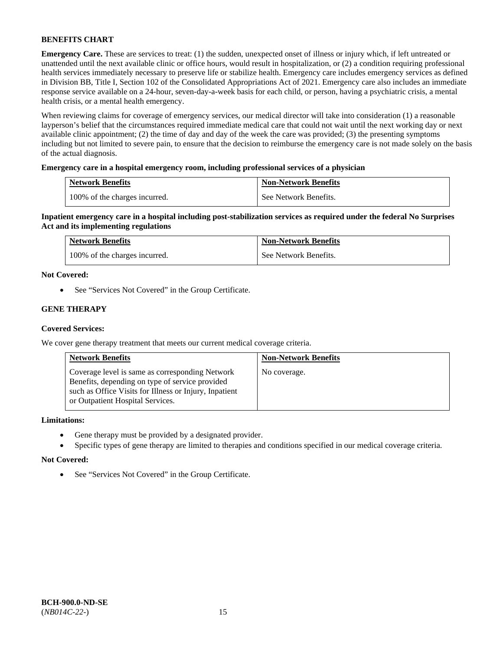**Emergency Care.** These are services to treat: (1) the sudden, unexpected onset of illness or injury which, if left untreated or unattended until the next available clinic or office hours, would result in hospitalization, or (2) a condition requiring professional health services immediately necessary to preserve life or stabilize health. Emergency care includes emergency services as defined in Division BB, Title I, Section 102 of the Consolidated Appropriations Act of 2021. Emergency care also includes an immediate response service available on a 24-hour, seven-day-a-week basis for each child, or person, having a psychiatric crisis, a mental health crisis, or a mental health emergency.

When reviewing claims for coverage of emergency services, our medical director will take into consideration (1) a reasonable layperson's belief that the circumstances required immediate medical care that could not wait until the next working day or next available clinic appointment; (2) the time of day and day of the week the care was provided; (3) the presenting symptoms including but not limited to severe pain, to ensure that the decision to reimburse the emergency care is not made solely on the basis of the actual diagnosis.

# **Emergency care in a hospital emergency room, including professional services of a physician**

| <b>Network Benefits</b>       | <b>Non-Network Benefits</b> |
|-------------------------------|-----------------------------|
| 100% of the charges incurred. | See Network Benefits.       |

**Inpatient emergency care in a hospital including post-stabilization services as required under the federal No Surprises Act and its implementing regulations**

| <b>Network Benefits</b>       | <b>Non-Network Benefits</b> |
|-------------------------------|-----------------------------|
| 100% of the charges incurred. | See Network Benefits.       |

### **Not Covered:**

• See "Services Not Covered" in the Group Certificate.

# **GENE THERAPY**

# **Covered Services:**

We cover gene therapy treatment that meets our current medical coverage criteria.

| <b>Network Benefits</b>                                                                                                                                                                          | <b>Non-Network Benefits</b> |
|--------------------------------------------------------------------------------------------------------------------------------------------------------------------------------------------------|-----------------------------|
| Coverage level is same as corresponding Network<br>Benefits, depending on type of service provided<br>such as Office Visits for Illness or Injury, Inpatient<br>or Outpatient Hospital Services. | No coverage.                |

### **Limitations:**

- Gene therapy must be provided by a designated provider.
- Specific types of gene therapy are limited to therapies and conditions specified in our medical coverage criteria.

#### **Not Covered:**

• See "Services Not Covered" in the Group Certificate.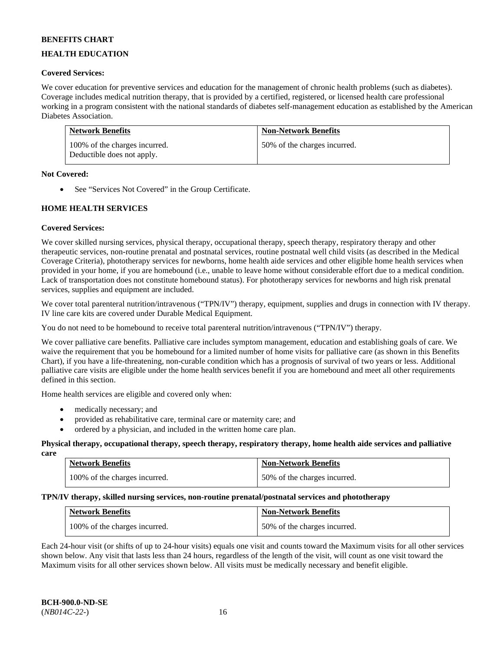# **HEALTH EDUCATION**

### **Covered Services:**

We cover education for preventive services and education for the management of chronic health problems (such as diabetes). Coverage includes medical nutrition therapy, that is provided by a certified, registered, or licensed health care professional working in a program consistent with the national standards of diabetes self-management education as established by the American Diabetes Association.

| <b>Network Benefits</b>                                     | <b>Non-Network Benefits</b>  |
|-------------------------------------------------------------|------------------------------|
| 100% of the charges incurred.<br>Deductible does not apply. | 50% of the charges incurred. |

### **Not Covered:**

• See "Services Not Covered" in the Group Certificate.

# **HOME HEALTH SERVICES**

### **Covered Services:**

We cover skilled nursing services, physical therapy, occupational therapy, speech therapy, respiratory therapy and other therapeutic services, non-routine prenatal and postnatal services, routine postnatal well child visits (as described in the Medical Coverage Criteria), phototherapy services for newborns, home health aide services and other eligible home health services when provided in your home, if you are homebound (i.e., unable to leave home without considerable effort due to a medical condition. Lack of transportation does not constitute homebound status). For phototherapy services for newborns and high risk prenatal services, supplies and equipment are included.

We cover total parenteral nutrition/intravenous ("TPN/IV") therapy, equipment, supplies and drugs in connection with IV therapy. IV line care kits are covered under Durable Medical Equipment.

You do not need to be homebound to receive total parenteral nutrition/intravenous ("TPN/IV") therapy.

We cover palliative care benefits. Palliative care includes symptom management, education and establishing goals of care. We waive the requirement that you be homebound for a limited number of home visits for palliative care (as shown in this Benefits Chart), if you have a life-threatening, non-curable condition which has a prognosis of survival of two years or less. Additional palliative care visits are eligible under the home health services benefit if you are homebound and meet all other requirements defined in this section.

Home health services are eligible and covered only when:

- medically necessary; and
- provided as rehabilitative care, terminal care or maternity care; and
- ordered by a physician, and included in the written home care plan.

#### **Physical therapy, occupational therapy, speech therapy, respiratory therapy, home health aide services and palliative care**

| <b>Network Benefits</b>       | <b>Non-Network Benefits</b>  |
|-------------------------------|------------------------------|
| 100% of the charges incurred. | 50% of the charges incurred. |

# **TPN/IV therapy, skilled nursing services, non-routine prenatal/postnatal services and phototherapy**

| <b>Network Benefits</b>       | <b>Non-Network Benefits</b>  |
|-------------------------------|------------------------------|
| 100% of the charges incurred. | 50% of the charges incurred. |

Each 24-hour visit (or shifts of up to 24-hour visits) equals one visit and counts toward the Maximum visits for all other services shown below. Any visit that lasts less than 24 hours, regardless of the length of the visit, will count as one visit toward the Maximum visits for all other services shown below. All visits must be medically necessary and benefit eligible.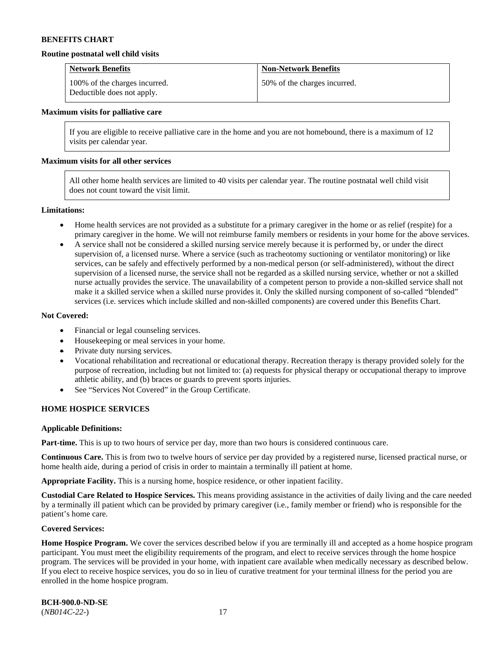#### **Routine postnatal well child visits**

| <b>Network Benefits</b>                                     | <b>Non-Network Benefits</b>  |
|-------------------------------------------------------------|------------------------------|
| 100% of the charges incurred.<br>Deductible does not apply. | 50% of the charges incurred. |

#### **Maximum visits for palliative care**

If you are eligible to receive palliative care in the home and you are not homebound, there is a maximum of 12 visits per calendar year.

#### **Maximum visits for all other services**

All other home health services are limited to 40 visits per calendar year. The routine postnatal well child visit does not count toward the visit limit.

#### **Limitations:**

- Home health services are not provided as a substitute for a primary caregiver in the home or as relief (respite) for a primary caregiver in the home. We will not reimburse family members or residents in your home for the above services.
- A service shall not be considered a skilled nursing service merely because it is performed by, or under the direct supervision of, a licensed nurse. Where a service (such as tracheotomy suctioning or ventilator monitoring) or like services, can be safely and effectively performed by a non-medical person (or self-administered), without the direct supervision of a licensed nurse, the service shall not be regarded as a skilled nursing service, whether or not a skilled nurse actually provides the service. The unavailability of a competent person to provide a non-skilled service shall not make it a skilled service when a skilled nurse provides it. Only the skilled nursing component of so-called "blended" services (i.e. services which include skilled and non-skilled components) are covered under this Benefits Chart.

#### **Not Covered:**

- Financial or legal counseling services.
- Housekeeping or meal services in your home.
- Private duty nursing services.
- Vocational rehabilitation and recreational or educational therapy. Recreation therapy is therapy provided solely for the purpose of recreation, including but not limited to: (a) requests for physical therapy or occupational therapy to improve athletic ability, and (b) braces or guards to prevent sports injuries.
- See "Services Not Covered" in the Group Certificate.

### **HOME HOSPICE SERVICES**

#### **Applicable Definitions:**

**Part-time.** This is up to two hours of service per day, more than two hours is considered continuous care.

**Continuous Care.** This is from two to twelve hours of service per day provided by a registered nurse, licensed practical nurse, or home health aide, during a period of crisis in order to maintain a terminally ill patient at home.

**Appropriate Facility.** This is a nursing home, hospice residence, or other inpatient facility.

**Custodial Care Related to Hospice Services.** This means providing assistance in the activities of daily living and the care needed by a terminally ill patient which can be provided by primary caregiver (i.e., family member or friend) who is responsible for the patient's home care.

#### **Covered Services:**

Home Hospice Program. We cover the services described below if you are terminally ill and accepted as a home hospice program participant. You must meet the eligibility requirements of the program, and elect to receive services through the home hospice program. The services will be provided in your home, with inpatient care available when medically necessary as described below. If you elect to receive hospice services, you do so in lieu of curative treatment for your terminal illness for the period you are enrolled in the home hospice program.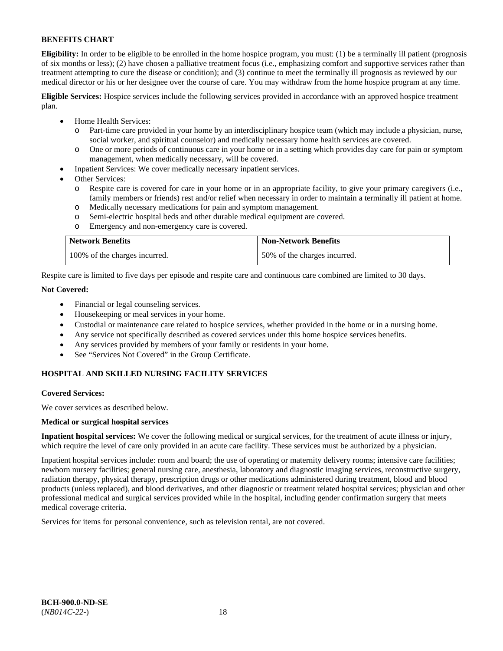**Eligibility:** In order to be eligible to be enrolled in the home hospice program, you must: (1) be a terminally ill patient (prognosis of six months or less); (2) have chosen a palliative treatment focus (i.e., emphasizing comfort and supportive services rather than treatment attempting to cure the disease or condition); and (3) continue to meet the terminally ill prognosis as reviewed by our medical director or his or her designee over the course of care. You may withdraw from the home hospice program at any time.

**Eligible Services:** Hospice services include the following services provided in accordance with an approved hospice treatment plan.

- Home Health Services:
	- o Part-time care provided in your home by an interdisciplinary hospice team (which may include a physician, nurse, social worker, and spiritual counselor) and medically necessary home health services are covered.
	- o One or more periods of continuous care in your home or in a setting which provides day care for pain or symptom management, when medically necessary, will be covered.
- Inpatient Services: We cover medically necessary inpatient services.
- Other Services:
	- Respite care is covered for care in your home or in an appropriate facility, to give your primary caregivers (i.e., family members or friends) rest and/or relief when necessary in order to maintain a terminally ill patient at home.
	- o Medically necessary medications for pain and symptom management.
	- Semi-electric hospital beds and other durable medical equipment are covered.
	- o Emergency and non-emergency care is covered.

| <b>Network Benefits</b>       | <b>Non-Network Benefits</b>  |
|-------------------------------|------------------------------|
| 100% of the charges incurred. | 50% of the charges incurred. |

Respite care is limited to five days per episode and respite care and continuous care combined are limited to 30 days.

# **Not Covered:**

- Financial or legal counseling services.
- Housekeeping or meal services in your home.
- Custodial or maintenance care related to hospice services, whether provided in the home or in a nursing home.
- Any service not specifically described as covered services under this home hospice services benefits.
- Any services provided by members of your family or residents in your home.
- See "Services Not Covered" in the Group Certificate.

# **HOSPITAL AND SKILLED NURSING FACILITY SERVICES**

#### **Covered Services:**

We cover services as described below.

#### **Medical or surgical hospital services**

**Inpatient hospital services:** We cover the following medical or surgical services, for the treatment of acute illness or injury, which require the level of care only provided in an acute care facility. These services must be authorized by a physician.

Inpatient hospital services include: room and board; the use of operating or maternity delivery rooms; intensive care facilities; newborn nursery facilities; general nursing care, anesthesia, laboratory and diagnostic imaging services, reconstructive surgery, radiation therapy, physical therapy, prescription drugs or other medications administered during treatment, blood and blood products (unless replaced), and blood derivatives, and other diagnostic or treatment related hospital services; physician and other professional medical and surgical services provided while in the hospital, including gender confirmation surgery that meets medical coverage criteria.

Services for items for personal convenience, such as television rental, are not covered.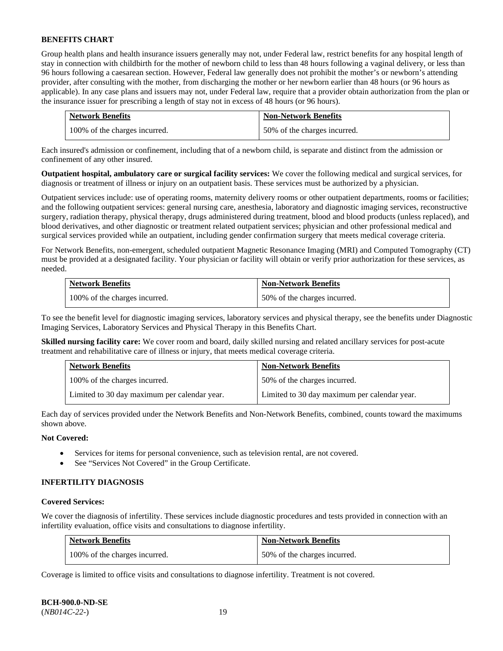Group health plans and health insurance issuers generally may not, under Federal law, restrict benefits for any hospital length of stay in connection with childbirth for the mother of newborn child to less than 48 hours following a vaginal delivery, or less than 96 hours following a caesarean section. However, Federal law generally does not prohibit the mother's or newborn's attending provider, after consulting with the mother, from discharging the mother or her newborn earlier than 48 hours (or 96 hours as applicable). In any case plans and issuers may not, under Federal law, require that a provider obtain authorization from the plan or the insurance issuer for prescribing a length of stay not in excess of 48 hours (or 96 hours).

| <b>Network Benefits</b>       | <b>Non-Network Benefits</b>  |
|-------------------------------|------------------------------|
| 100% of the charges incurred. | 50% of the charges incurred. |

Each insured's admission or confinement, including that of a newborn child, is separate and distinct from the admission or confinement of any other insured.

**Outpatient hospital, ambulatory care or surgical facility services:** We cover the following medical and surgical services, for diagnosis or treatment of illness or injury on an outpatient basis. These services must be authorized by a physician.

Outpatient services include: use of operating rooms, maternity delivery rooms or other outpatient departments, rooms or facilities; and the following outpatient services: general nursing care, anesthesia, laboratory and diagnostic imaging services, reconstructive surgery, radiation therapy, physical therapy, drugs administered during treatment, blood and blood products (unless replaced), and blood derivatives, and other diagnostic or treatment related outpatient services; physician and other professional medical and surgical services provided while an outpatient, including gender confirmation surgery that meets medical coverage criteria.

For Network Benefits, non-emergent, scheduled outpatient Magnetic Resonance Imaging (MRI) and Computed Tomography (CT) must be provided at a designated facility. Your physician or facility will obtain or verify prior authorization for these services, as needed.

| <b>Network Benefits</b>       | <b>Non-Network Benefits</b>  |
|-------------------------------|------------------------------|
| 100% of the charges incurred. | 50% of the charges incurred. |

To see the benefit level for diagnostic imaging services, laboratory services and physical therapy, see the benefits under Diagnostic Imaging Services, Laboratory Services and Physical Therapy in this Benefits Chart.

**Skilled nursing facility care:** We cover room and board, daily skilled nursing and related ancillary services for post-acute treatment and rehabilitative care of illness or injury, that meets medical coverage criteria.

| <b>Network Benefits</b>                      | <b>Non-Network Benefits</b>                  |
|----------------------------------------------|----------------------------------------------|
| 100% of the charges incurred.                | 50% of the charges incurred.                 |
| Limited to 30 day maximum per calendar year. | Limited to 30 day maximum per calendar year. |

Each day of services provided under the Network Benefits and Non-Network Benefits, combined, counts toward the maximums shown above.

# **Not Covered:**

- Services for items for personal convenience, such as television rental, are not covered.
- See "Services Not Covered" in the Group Certificate.

#### **INFERTILITY DIAGNOSIS**

#### **Covered Services:**

We cover the diagnosis of infertility. These services include diagnostic procedures and tests provided in connection with an infertility evaluation, office visits and consultations to diagnose infertility.

| <b>Network Benefits</b>       | <b>Non-Network Benefits</b>  |
|-------------------------------|------------------------------|
| 100% of the charges incurred. | 50% of the charges incurred. |

Coverage is limited to office visits and consultations to diagnose infertility. Treatment is not covered.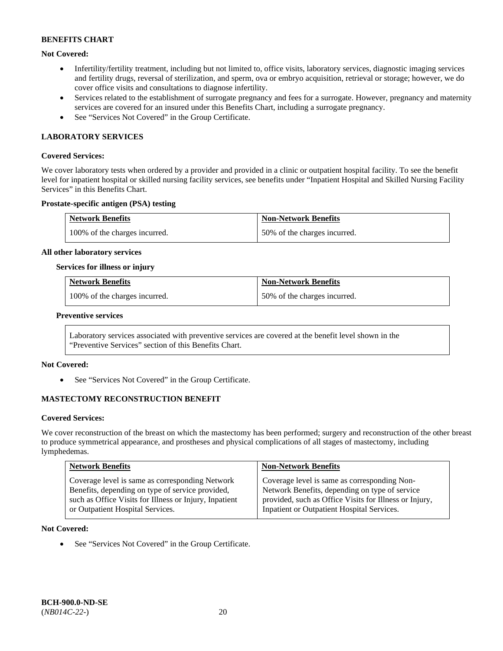# **Not Covered:**

- Infertility/fertility treatment, including but not limited to, office visits, laboratory services, diagnostic imaging services and fertility drugs, reversal of sterilization, and sperm, ova or embryo acquisition, retrieval or storage; however, we do cover office visits and consultations to diagnose infertility.
- Services related to the establishment of surrogate pregnancy and fees for a surrogate. However, pregnancy and maternity services are covered for an insured under this Benefits Chart, including a surrogate pregnancy.
- See "Services Not Covered" in the Group Certificate.

### **LABORATORY SERVICES**

#### **Covered Services:**

We cover laboratory tests when ordered by a provider and provided in a clinic or outpatient hospital facility. To see the benefit level for inpatient hospital or skilled nursing facility services, see benefits under "Inpatient Hospital and Skilled Nursing Facility Services" in this Benefits Chart.

#### **Prostate-specific antigen (PSA) testing**

| <b>Network Benefits</b>       | <b>Non-Network Benefits</b>  |
|-------------------------------|------------------------------|
| 100% of the charges incurred. | 50% of the charges incurred. |

#### **All other laboratory services**

#### **Services for illness or injury**

| <b>Network Benefits</b>       | <b>Non-Network Benefits</b>  |
|-------------------------------|------------------------------|
| 100% of the charges incurred. | 50% of the charges incurred. |

#### **Preventive services**

Laboratory services associated with preventive services are covered at the benefit level shown in the "Preventive Services" section of this Benefits Chart.

#### **Not Covered:**

See "Services Not Covered" in the Group Certificate.

# **MASTECTOMY RECONSTRUCTION BENEFIT**

#### **Covered Services:**

We cover reconstruction of the breast on which the mastectomy has been performed; surgery and reconstruction of the other breast to produce symmetrical appearance, and prostheses and physical complications of all stages of mastectomy, including lymphedemas.

| <b>Network Benefits</b>                                | <b>Non-Network Benefits</b>                            |
|--------------------------------------------------------|--------------------------------------------------------|
| Coverage level is same as corresponding Network        | Coverage level is same as corresponding Non-           |
| Benefits, depending on type of service provided,       | Network Benefits, depending on type of service         |
| such as Office Visits for Illness or Injury, Inpatient | provided, such as Office Visits for Illness or Injury, |
| or Outpatient Hospital Services.                       | Inpatient or Outpatient Hospital Services.             |

#### **Not Covered:**

• See "Services Not Covered" in the Group Certificate.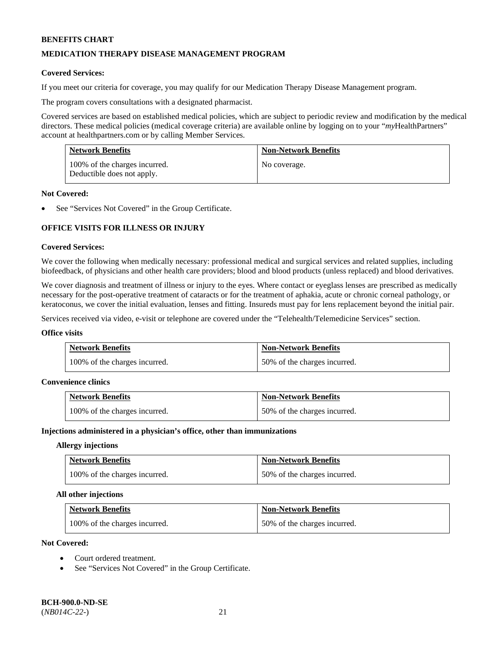# **MEDICATION THERAPY DISEASE MANAGEMENT PROGRAM**

### **Covered Services:**

If you meet our criteria for coverage, you may qualify for our Medication Therapy Disease Management program.

The program covers consultations with a designated pharmacist.

Covered services are based on established medical policies, which are subject to periodic review and modification by the medical directors. These medical policies (medical coverage criteria) are available online by logging on to your "*my*HealthPartners" account a[t healthpartners.com](http://www.healthpartners.com/) or by calling Member Services.

| <b>Network Benefits</b>                                     | <b>Non-Network Benefits</b> |
|-------------------------------------------------------------|-----------------------------|
| 100% of the charges incurred.<br>Deductible does not apply. | No coverage.                |

#### **Not Covered:**

See "Services Not Covered" in the Group Certificate.

# **OFFICE VISITS FOR ILLNESS OR INJURY**

### **Covered Services:**

We cover the following when medically necessary: professional medical and surgical services and related supplies, including biofeedback, of physicians and other health care providers; blood and blood products (unless replaced) and blood derivatives.

We cover diagnosis and treatment of illness or injury to the eyes. Where contact or eyeglass lenses are prescribed as medically necessary for the post-operative treatment of cataracts or for the treatment of aphakia, acute or chronic corneal pathology, or keratoconus, we cover the initial evaluation, lenses and fitting. Insureds must pay for lens replacement beyond the initial pair.

Services received via video, e-visit or telephone are covered under the "Telehealth/Telemedicine Services" section.

#### **Office visits**

| <b>Network Benefits</b>       | <b>Non-Network Benefits</b>  |
|-------------------------------|------------------------------|
| 100% of the charges incurred. | 50% of the charges incurred. |

#### **Convenience clinics**

| <b>Network Benefits</b>       | <b>Non-Network Benefits</b>  |
|-------------------------------|------------------------------|
| 100% of the charges incurred. | 50% of the charges incurred. |

#### **Injections administered in a physician's office, other than immunizations**

#### **Allergy injections**

| <b>Network Benefits</b>       | <b>Non-Network Benefits</b>  |
|-------------------------------|------------------------------|
| 100% of the charges incurred. | 50% of the charges incurred. |

#### **All other injections**

| <b>Network Benefits</b>       | <b>Non-Network Benefits</b>  |
|-------------------------------|------------------------------|
| 100% of the charges incurred. | 50% of the charges incurred. |

# **Not Covered:**

- Court ordered treatment.
- See "Services Not Covered" in the Group Certificate.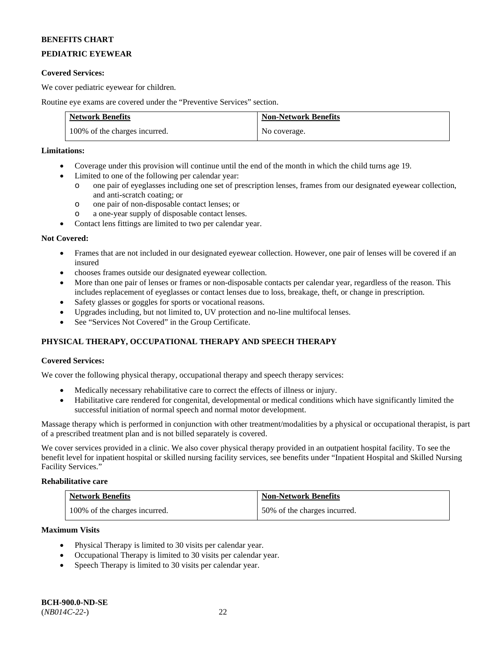# **PEDIATRIC EYEWEAR**

### **Covered Services:**

We cover pediatric eyewear for children.

Routine eye exams are covered under the "Preventive Services" section.

| <b>Network Benefits</b>       | <b>Non-Network Benefits</b> |
|-------------------------------|-----------------------------|
| 100% of the charges incurred. | No coverage.                |

# **Limitations:**

- Coverage under this provision will continue until the end of the month in which the child turns age 19.
- Limited to one of the following per calendar year:
	- o one pair of eyeglasses including one set of prescription lenses, frames from our designated eyewear collection, and anti-scratch coating; or
	- o one pair of non-disposable contact lenses; or
	- o a one-year supply of disposable contact lenses.
- Contact lens fittings are limited to two per calendar year.

### **Not Covered:**

- Frames that are not included in our designated eyewear collection. However, one pair of lenses will be covered if an insured
- chooses frames outside our designated eyewear collection.
- More than one pair of lenses or frames or non-disposable contacts per calendar year, regardless of the reason. This includes replacement of eyeglasses or contact lenses due to loss, breakage, theft, or change in prescription.
- Safety glasses or goggles for sports or vocational reasons.
- Upgrades including, but not limited to, UV protection and no-line multifocal lenses.
- See "Services Not Covered" in the Group Certificate.

# **PHYSICAL THERAPY, OCCUPATIONAL THERAPY AND SPEECH THERAPY**

# **Covered Services:**

We cover the following physical therapy, occupational therapy and speech therapy services:

- Medically necessary rehabilitative care to correct the effects of illness or injury.
- Habilitative care rendered for congenital, developmental or medical conditions which have significantly limited the successful initiation of normal speech and normal motor development.

Massage therapy which is performed in conjunction with other treatment/modalities by a physical or occupational therapist, is part of a prescribed treatment plan and is not billed separately is covered.

We cover services provided in a clinic. We also cover physical therapy provided in an outpatient hospital facility. To see the benefit level for inpatient hospital or skilled nursing facility services, see benefits under "Inpatient Hospital and Skilled Nursing Facility Services."

# **Rehabilitative care**

| <b>Network Benefits</b>       | <b>Non-Network Benefits</b>  |
|-------------------------------|------------------------------|
| 100% of the charges incurred. | 50% of the charges incurred. |

#### **Maximum Visits**

- Physical Therapy is limited to 30 visits per calendar year.
- Occupational Therapy is limited to 30 visits per calendar year.
- Speech Therapy is limited to 30 visits per calendar year.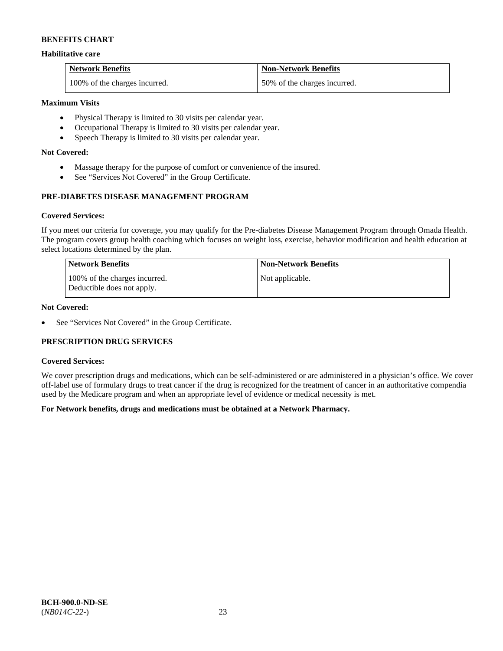### **Habilitative care**

| <b>Network Benefits</b>       | <b>Non-Network Benefits</b>  |
|-------------------------------|------------------------------|
| 100% of the charges incurred. | 50% of the charges incurred. |

# **Maximum Visits**

- Physical Therapy is limited to 30 visits per calendar year.
- Occupational Therapy is limited to 30 visits per calendar year.
- Speech Therapy is limited to 30 visits per calendar year.

# **Not Covered:**

- Massage therapy for the purpose of comfort or convenience of the insured.
- See "Services Not Covered" in the Group Certificate.

# **PRE-DIABETES DISEASE MANAGEMENT PROGRAM**

### **Covered Services:**

If you meet our criteria for coverage, you may qualify for the Pre-diabetes Disease Management Program through Omada Health. The program covers group health coaching which focuses on weight loss, exercise, behavior modification and health education at select locations determined by the plan.

| Network Benefits                                            | <b>Non-Network Benefits</b> |
|-------------------------------------------------------------|-----------------------------|
| 100% of the charges incurred.<br>Deductible does not apply. | Not applicable.             |

# **Not Covered:**

• See "Services Not Covered" in the Group Certificate.

# **PRESCRIPTION DRUG SERVICES**

#### **Covered Services:**

We cover prescription drugs and medications, which can be self-administered or are administered in a physician's office. We cover off-label use of formulary drugs to treat cancer if the drug is recognized for the treatment of cancer in an authoritative compendia used by the Medicare program and when an appropriate level of evidence or medical necessity is met.

# **For Network benefits, drugs and medications must be obtained at a Network Pharmacy.**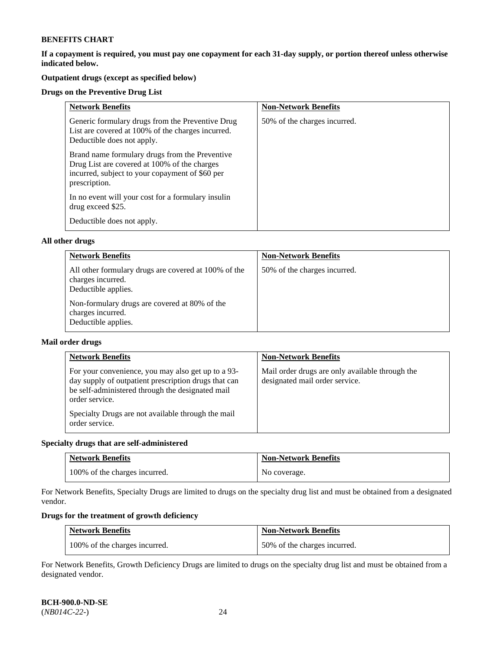**If a copayment is required, you must pay one copayment for each 31-day supply, or portion thereof unless otherwise indicated below.** 

# **Outpatient drugs (except as specified below)**

# **Drugs on the Preventive Drug List**

| <b>Network Benefits</b>                                                                                                                                            | <b>Non-Network Benefits</b>  |
|--------------------------------------------------------------------------------------------------------------------------------------------------------------------|------------------------------|
| Generic formulary drugs from the Preventive Drug<br>List are covered at 100% of the charges incurred.<br>Deductible does not apply.                                | 50% of the charges incurred. |
| Brand name formulary drugs from the Preventive<br>Drug List are covered at 100% of the charges<br>incurred, subject to your copayment of \$60 per<br>prescription. |                              |
| In no event will your cost for a formulary insulin<br>drug exceed \$25.                                                                                            |                              |
| Deductible does not apply.                                                                                                                                         |                              |

### **All other drugs**

| <b>Network Benefits</b>                                                                          | <b>Non-Network Benefits</b>  |
|--------------------------------------------------------------------------------------------------|------------------------------|
| All other formulary drugs are covered at 100% of the<br>charges incurred.<br>Deductible applies. | 50% of the charges incurred. |
| Non-formulary drugs are covered at 80% of the<br>charges incurred.<br>Deductible applies.        |                              |

### **Mail order drugs**

| <b>Network Benefits</b>                                                                                                                                                                                                                                  | <b>Non-Network Benefits</b>                                                       |
|----------------------------------------------------------------------------------------------------------------------------------------------------------------------------------------------------------------------------------------------------------|-----------------------------------------------------------------------------------|
| For your convenience, you may also get up to a 93-<br>day supply of outpatient prescription drugs that can<br>be self-administered through the designated mail<br>order service.<br>Specialty Drugs are not available through the mail<br>order service. | Mail order drugs are only available through the<br>designated mail order service. |

# **Specialty drugs that are self-administered**

| <b>Network Benefits</b>       | <b>Non-Network Benefits</b> |
|-------------------------------|-----------------------------|
| 100% of the charges incurred. | No coverage.                |

For Network Benefits, Specialty Drugs are limited to drugs on the specialty drug list and must be obtained from a designated vendor.

# **Drugs for the treatment of growth deficiency**

| <b>Network Benefits</b>       | <b>Non-Network Benefits</b>  |
|-------------------------------|------------------------------|
| 100% of the charges incurred. | 50% of the charges incurred. |

For Network Benefits, Growth Deficiency Drugs are limited to drugs on the specialty drug list and must be obtained from a designated vendor.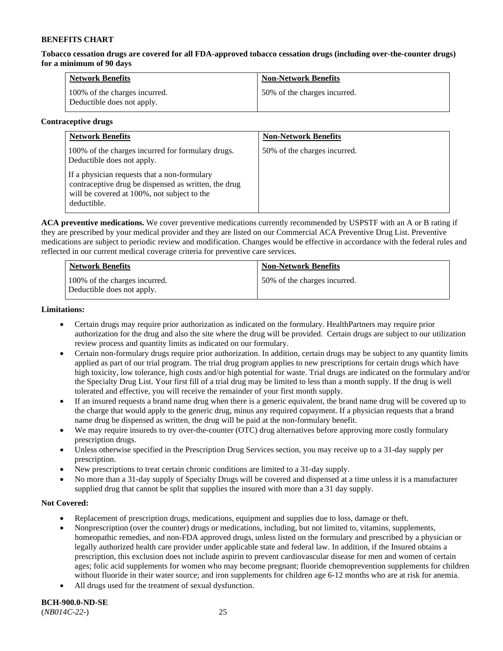**Tobacco cessation drugs are covered for all FDA-approved tobacco cessation drugs (including over-the-counter drugs) for a minimum of 90 days**

| <b>Network Benefits</b>                                     | <b>Non-Network Benefits</b>  |
|-------------------------------------------------------------|------------------------------|
| 100% of the charges incurred.<br>Deductible does not apply. | 50% of the charges incurred. |

### **Contraceptive drugs**

| <b>Network Benefits</b>                                                                                                                                            | <b>Non-Network Benefits</b>  |
|--------------------------------------------------------------------------------------------------------------------------------------------------------------------|------------------------------|
| 100% of the charges incurred for formulary drugs.<br>Deductible does not apply.                                                                                    | 50% of the charges incurred. |
| If a physician requests that a non-formulary<br>contraceptive drug be dispensed as written, the drug<br>will be covered at 100%, not subject to the<br>deductible. |                              |

**ACA preventive medications.** We cover preventive medications currently recommended by USPSTF with an A or B rating if they are prescribed by your medical provider and they are listed on our Commercial ACA Preventive Drug List. Preventive medications are subject to periodic review and modification. Changes would be effective in accordance with the federal rules and reflected in our current medical coverage criteria for preventive care services.

| <b>Network Benefits</b>                                     | <b>Non-Network Benefits</b>  |
|-------------------------------------------------------------|------------------------------|
| 100% of the charges incurred.<br>Deductible does not apply. | 50% of the charges incurred. |

### **Limitations:**

- Certain drugs may require prior authorization as indicated on the formulary. HealthPartners may require prior authorization for the drug and also the site where the drug will be provided. Certain drugs are subject to our utilization review process and quantity limits as indicated on our formulary.
- Certain non-formulary drugs require prior authorization. In addition, certain drugs may be subject to any quantity limits applied as part of our trial program. The trial drug program applies to new prescriptions for certain drugs which have high toxicity, low tolerance, high costs and/or high potential for waste. Trial drugs are indicated on the formulary and/or the Specialty Drug List. Your first fill of a trial drug may be limited to less than a month supply. If the drug is well tolerated and effective, you will receive the remainder of your first month supply.
- If an insured requests a brand name drug when there is a generic equivalent, the brand name drug will be covered up to the charge that would apply to the generic drug, minus any required copayment. If a physician requests that a brand name drug be dispensed as written, the drug will be paid at the non-formulary benefit.
- We may require insureds to try over-the-counter (OTC) drug alternatives before approving more costly formulary prescription drugs.
- Unless otherwise specified in the Prescription Drug Services section, you may receive up to a 31-day supply per prescription.
- New prescriptions to treat certain chronic conditions are limited to a 31-day supply.
- No more than a 31-day supply of Specialty Drugs will be covered and dispensed at a time unless it is a manufacturer supplied drug that cannot be split that supplies the insured with more than a 31 day supply.

# **Not Covered:**

- Replacement of prescription drugs, medications, equipment and supplies due to loss, damage or theft.
- Nonprescription (over the counter) drugs or medications, including, but not limited to, vitamins, supplements, homeopathic remedies, and non-FDA approved drugs, unless listed on the formulary and prescribed by a physician or legally authorized health care provider under applicable state and federal law. In addition, if the Insured obtains a prescription, this exclusion does not include aspirin to prevent cardiovascular disease for men and women of certain ages; folic acid supplements for women who may become pregnant; fluoride chemoprevention supplements for children without fluoride in their water source; and iron supplements for children age 6-12 months who are at risk for anemia.
- All drugs used for the treatment of sexual dysfunction.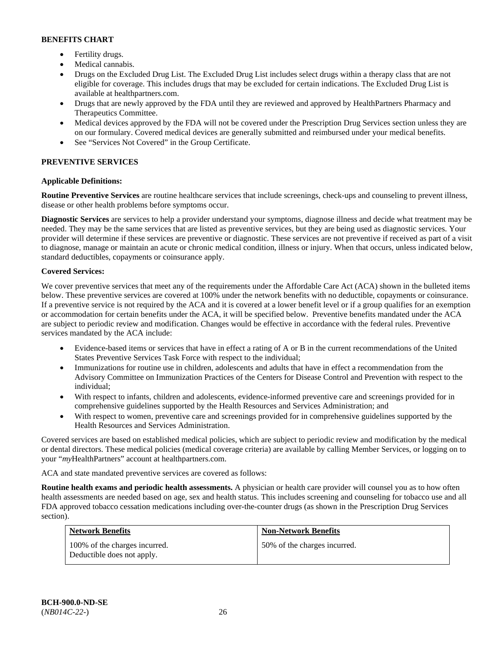- Fertility drugs.
- Medical cannabis.
- Drugs on the Excluded Drug List. The Excluded Drug List includes select drugs within a therapy class that are not eligible for coverage. This includes drugs that may be excluded for certain indications. The Excluded Drug List is available at [healthpartners.com.](http://www.healthpartners.com/)
- Drugs that are newly approved by the FDA until they are reviewed and approved by HealthPartners Pharmacy and Therapeutics Committee.
- Medical devices approved by the FDA will not be covered under the Prescription Drug Services section unless they are on our formulary. Covered medical devices are generally submitted and reimbursed under your medical benefits.
- See "Services Not Covered" in the Group Certificate.

# **PREVENTIVE SERVICES**

# **Applicable Definitions:**

**Routine Preventive Services** are routine healthcare services that include screenings, check-ups and counseling to prevent illness, disease or other health problems before symptoms occur.

**Diagnostic Services** are services to help a provider understand your symptoms, diagnose illness and decide what treatment may be needed. They may be the same services that are listed as preventive services, but they are being used as diagnostic services. Your provider will determine if these services are preventive or diagnostic. These services are not preventive if received as part of a visit to diagnose, manage or maintain an acute or chronic medical condition, illness or injury. When that occurs, unless indicated below, standard deductibles, copayments or coinsurance apply.

# **Covered Services:**

We cover preventive services that meet any of the requirements under the Affordable Care Act (ACA) shown in the bulleted items below. These preventive services are covered at 100% under the network benefits with no deductible, copayments or coinsurance. If a preventive service is not required by the ACA and it is covered at a lower benefit level or if a group qualifies for an exemption or accommodation for certain benefits under the ACA, it will be specified below. Preventive benefits mandated under the ACA are subject to periodic review and modification. Changes would be effective in accordance with the federal rules. Preventive services mandated by the ACA include:

- Evidence-based items or services that have in effect a rating of A or B in the current recommendations of the United States Preventive Services Task Force with respect to the individual;
- Immunizations for routine use in children, adolescents and adults that have in effect a recommendation from the Advisory Committee on Immunization Practices of the Centers for Disease Control and Prevention with respect to the individual;
- With respect to infants, children and adolescents, evidence-informed preventive care and screenings provided for in comprehensive guidelines supported by the Health Resources and Services Administration; and
- With respect to women, preventive care and screenings provided for in comprehensive guidelines supported by the Health Resources and Services Administration.

Covered services are based on established medical policies, which are subject to periodic review and modification by the medical or dental directors. These medical policies (medical coverage criteria) are available by calling Member Services, or logging on to your "*my*HealthPartners" account at [healthpartners.com.](http://www.healthpartners.com/) 

ACA and state mandated preventive services are covered as follows:

**Routine health exams and periodic health assessments.** A physician or health care provider will counsel you as to how often health assessments are needed based on age, sex and health status. This includes screening and counseling for tobacco use and all FDA approved tobacco cessation medications including over-the-counter drugs (as shown in the Prescription Drug Services section).

| <b>Network Benefits</b>                                     | <b>Non-Network Benefits</b>  |
|-------------------------------------------------------------|------------------------------|
| 100% of the charges incurred.<br>Deductible does not apply. | 50% of the charges incurred. |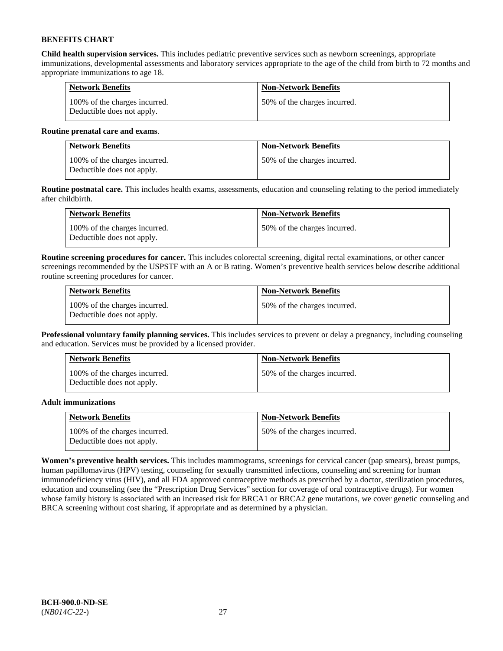**Child health supervision services.** This includes pediatric preventive services such as newborn screenings, appropriate immunizations, developmental assessments and laboratory services appropriate to the age of the child from birth to 72 months and appropriate immunizations to age 18.

| <b>Network Benefits</b>                                     | <b>Non-Network Benefits</b>  |
|-------------------------------------------------------------|------------------------------|
| 100% of the charges incurred.<br>Deductible does not apply. | 50% of the charges incurred. |

### **Routine prenatal care and exams**.

| <b>Network Benefits</b>                                     | <b>Non-Network Benefits</b>  |
|-------------------------------------------------------------|------------------------------|
| 100% of the charges incurred.<br>Deductible does not apply. | 50% of the charges incurred. |

**Routine postnatal care.** This includes health exams, assessments, education and counseling relating to the period immediately after childbirth.

| <b>Network Benefits</b>                                     | <b>Non-Network Benefits</b>  |
|-------------------------------------------------------------|------------------------------|
| 100% of the charges incurred.<br>Deductible does not apply. | 50% of the charges incurred. |

**Routine screening procedures for cancer.** This includes colorectal screening, digital rectal examinations, or other cancer screenings recommended by the USPSTF with an A or B rating. Women's preventive health services below describe additional routine screening procedures for cancer.

| <b>Network Benefits</b>                                     | <b>Non-Network Benefits</b>  |
|-------------------------------------------------------------|------------------------------|
| 100% of the charges incurred.<br>Deductible does not apply. | 50% of the charges incurred. |

**Professional voluntary family planning services.** This includes services to prevent or delay a pregnancy, including counseling and education. Services must be provided by a licensed provider.

| <b>Network Benefits</b>                                     | <b>Non-Network Benefits</b>  |
|-------------------------------------------------------------|------------------------------|
| 100% of the charges incurred.<br>Deductible does not apply. | 50% of the charges incurred. |

# **Adult immunizations**

| <b>Network Benefits</b>                                     | <b>Non-Network Benefits</b>  |
|-------------------------------------------------------------|------------------------------|
| 100% of the charges incurred.<br>Deductible does not apply. | 50% of the charges incurred. |

**Women's preventive health services.** This includes mammograms, screenings for cervical cancer (pap smears), breast pumps, human papillomavirus (HPV) testing, counseling for sexually transmitted infections, counseling and screening for human immunodeficiency virus (HIV), and all FDA approved contraceptive methods as prescribed by a doctor, sterilization procedures, education and counseling (see the "Prescription Drug Services" section for coverage of oral contraceptive drugs). For women whose family history is associated with an increased risk for BRCA1 or BRCA2 gene mutations, we cover genetic counseling and BRCA screening without cost sharing, if appropriate and as determined by a physician.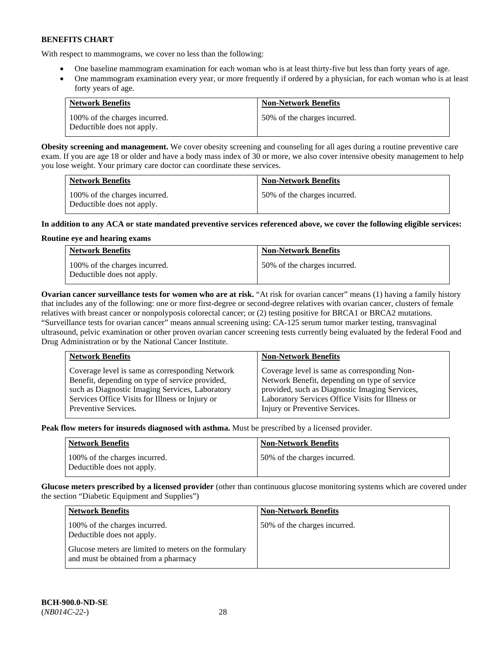With respect to mammograms, we cover no less than the following:

- One baseline mammogram examination for each woman who is at least thirty-five but less than forty years of age.
- One mammogram examination every year, or more frequently if ordered by a physician, for each woman who is at least forty years of age.

| <b>Network Benefits</b>                                     | <b>Non-Network Benefits</b>  |
|-------------------------------------------------------------|------------------------------|
| 100% of the charges incurred.<br>Deductible does not apply. | 50% of the charges incurred. |

**Obesity screening and management.** We cover obesity screening and counseling for all ages during a routine preventive care exam. If you are age 18 or older and have a body mass index of 30 or more, we also cover intensive obesity management to help you lose weight. Your primary care doctor can coordinate these services.

| <b>Network Benefits</b>                                     | <b>Non-Network Benefits</b>  |
|-------------------------------------------------------------|------------------------------|
| 100% of the charges incurred.<br>Deductible does not apply. | 50% of the charges incurred. |

# **In addition to any ACA or state mandated preventive services referenced above, we cover the following eligible services:**

# **Routine eye and hearing exams**

| <b>Network Benefits</b>                                     | <b>Non-Network Benefits</b>  |
|-------------------------------------------------------------|------------------------------|
| 100% of the charges incurred.<br>Deductible does not apply. | 50% of the charges incurred. |

**Ovarian cancer surveillance tests for women who are at risk.** "At risk for ovarian cancer" means (1) having a family history that includes any of the following: one or more first-degree or second-degree relatives with ovarian cancer, clusters of female relatives with breast cancer or nonpolyposis colorectal cancer; or (2) testing positive for BRCA1 or BRCA2 mutations. "Surveillance tests for ovarian cancer" means annual screening using: CA-125 serum tumor marker testing, transvaginal ultrasound, pelvic examination or other proven ovarian cancer screening tests currently being evaluated by the federal Food and Drug Administration or by the National Cancer Institute.

| <b>Network Benefits</b>                         | <b>Non-Network Benefits</b>                      |
|-------------------------------------------------|--------------------------------------------------|
| Coverage level is same as corresponding Network | Coverage level is same as corresponding Non-     |
| Benefit, depending on type of service provided, | Network Benefit, depending on type of service    |
| such as Diagnostic Imaging Services, Laboratory | provided, such as Diagnostic Imaging Services,   |
| Services Office Visits for Illness or Injury or | Laboratory Services Office Visits for Illness or |
| Preventive Services.                            | Injury or Preventive Services.                   |

**Peak flow meters for insureds diagnosed with asthma.** Must be prescribed by a licensed provider.

| <b>Network Benefits</b>                                     | <b>Non-Network Benefits</b>  |
|-------------------------------------------------------------|------------------------------|
| 100% of the charges incurred.<br>Deductible does not apply. | 50% of the charges incurred. |

**Glucose meters prescribed by a licensed provider** (other than continuous glucose monitoring systems which are covered under the section "Diabetic Equipment and Supplies")

| <b>Network Benefits</b>                                                                       | <b>Non-Network Benefits</b>  |
|-----------------------------------------------------------------------------------------------|------------------------------|
| 100% of the charges incurred.<br>Deductible does not apply.                                   | 50% of the charges incurred. |
| Glucose meters are limited to meters on the formulary<br>and must be obtained from a pharmacy |                              |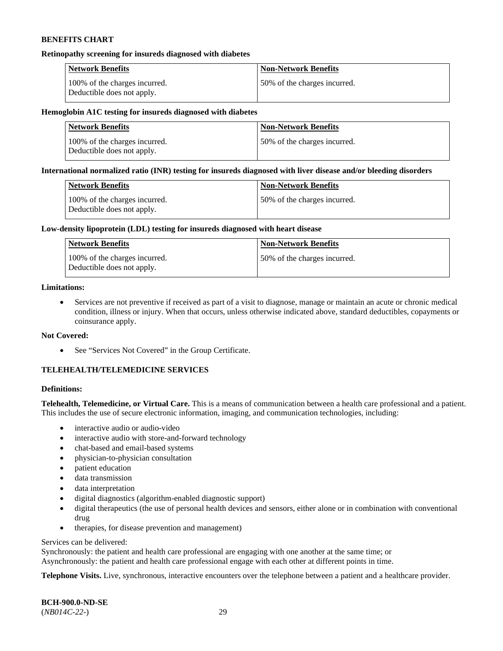#### **Retinopathy screening for insureds diagnosed with diabetes**

| <b>Network Benefits</b>                                     | <b>Non-Network Benefits</b>  |
|-------------------------------------------------------------|------------------------------|
| 100% of the charges incurred.<br>Deductible does not apply. | 50% of the charges incurred. |

#### **Hemoglobin A1C testing for insureds diagnosed with diabetes**

| <b>Network Benefits</b>                                     | <b>Non-Network Benefits</b>  |
|-------------------------------------------------------------|------------------------------|
| 100% of the charges incurred.<br>Deductible does not apply. | 50% of the charges incurred. |

### **International normalized ratio (INR) testing for insureds diagnosed with liver disease and/or bleeding disorders**

| Network Benefits                                            | <b>Non-Network Benefits</b>  |
|-------------------------------------------------------------|------------------------------|
| 100% of the charges incurred.<br>Deductible does not apply. | 50% of the charges incurred. |

#### **Low-density lipoprotein (LDL) testing for insureds diagnosed with heart disease**

| <b>Network Benefits</b>                                     | <b>Non-Network Benefits</b>  |
|-------------------------------------------------------------|------------------------------|
| 100% of the charges incurred.<br>Deductible does not apply. | 50% of the charges incurred. |

# **Limitations:**

• Services are not preventive if received as part of a visit to diagnose, manage or maintain an acute or chronic medical condition, illness or injury. When that occurs, unless otherwise indicated above, standard deductibles, copayments or coinsurance apply.

#### **Not Covered:**

• See "Services Not Covered" in the Group Certificate.

# **TELEHEALTH/TELEMEDICINE SERVICES**

### **Definitions:**

**Telehealth, Telemedicine, or Virtual Care.** This is a means of communication between a health care professional and a patient. This includes the use of secure electronic information, imaging, and communication technologies, including:

- interactive audio or audio-video
- interactive audio with store-and-forward technology
- chat-based and email-based systems
- physician-to-physician consultation
- patient education
- data transmission
- data interpretation
- digital diagnostics (algorithm-enabled diagnostic support)
- digital therapeutics (the use of personal health devices and sensors, either alone or in combination with conventional drug
- therapies, for disease prevention and management)

### Services can be delivered:

Synchronously: the patient and health care professional are engaging with one another at the same time; or Asynchronously: the patient and health care professional engage with each other at different points in time.

**Telephone Visits.** Live, synchronous, interactive encounters over the telephone between a patient and a healthcare provider.

**BCH-900.0-ND-SE** (*NB014C-22-*) 29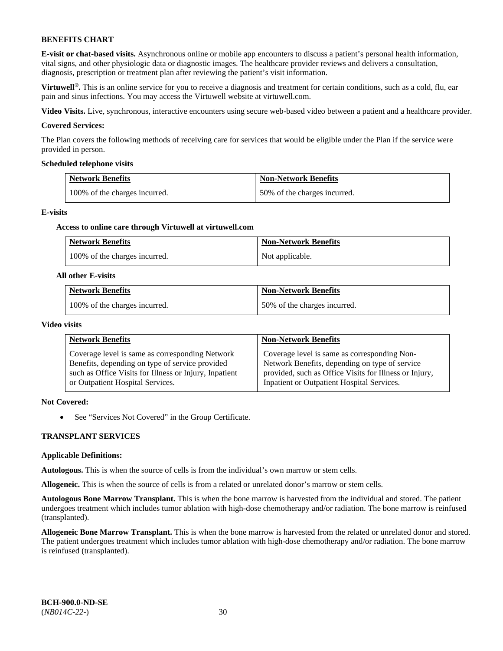**E-visit or chat-based visits.** Asynchronous online or mobile app encounters to discuss a patient's personal health information, vital signs, and other physiologic data or diagnostic images. The healthcare provider reviews and delivers a consultation, diagnosis, prescription or treatment plan after reviewing the patient's visit information.

**Virtuwell<sup>®</sup>**. This is an online service for you to receive a diagnosis and treatment for certain conditions, such as a cold, flu, ear pain and sinus infections. You may access the Virtuwell website at [virtuwell.com.](https://www.virtuwell.com/)

**Video Visits.** Live, synchronous, interactive encounters using secure web-based video between a patient and a healthcare provider.

#### **Covered Services:**

The Plan covers the following methods of receiving care for services that would be eligible under the Plan if the service were provided in person.

#### **Scheduled telephone visits**

| <b>Network Benefits</b>       | <b>Non-Network Benefits</b>  |
|-------------------------------|------------------------------|
| 100% of the charges incurred. | 50% of the charges incurred. |

#### **E-visits**

#### **Access to online care through Virtuwell at [virtuwell.com](https://www.virtuwell.com/)**

| <b>Network Benefits</b>       | <b>Non-Network Benefits</b> |
|-------------------------------|-----------------------------|
| 100% of the charges incurred. | Not applicable.             |

#### **All other E-visits**

| <b>Network Benefits</b>       | <b>Non-Network Benefits</b>  |
|-------------------------------|------------------------------|
| 100% of the charges incurred. | 50% of the charges incurred. |

#### **Video visits**

| <b>Network Benefits</b>                                | <b>Non-Network Benefits</b>                            |
|--------------------------------------------------------|--------------------------------------------------------|
| Coverage level is same as corresponding Network        | Coverage level is same as corresponding Non-           |
| Benefits, depending on type of service provided        | Network Benefits, depending on type of service         |
| such as Office Visits for Illness or Injury, Inpatient | provided, such as Office Visits for Illness or Injury, |
| or Outpatient Hospital Services.                       | Inpatient or Outpatient Hospital Services.             |

### **Not Covered:**

• See "Services Not Covered" in the Group Certificate.

#### **TRANSPLANT SERVICES**

#### **Applicable Definitions:**

**Autologous.** This is when the source of cells is from the individual's own marrow or stem cells.

**Allogeneic.** This is when the source of cells is from a related or unrelated donor's marrow or stem cells.

**Autologous Bone Marrow Transplant.** This is when the bone marrow is harvested from the individual and stored. The patient undergoes treatment which includes tumor ablation with high-dose chemotherapy and/or radiation. The bone marrow is reinfused (transplanted).

**Allogeneic Bone Marrow Transplant.** This is when the bone marrow is harvested from the related or unrelated donor and stored. The patient undergoes treatment which includes tumor ablation with high-dose chemotherapy and/or radiation. The bone marrow is reinfused (transplanted).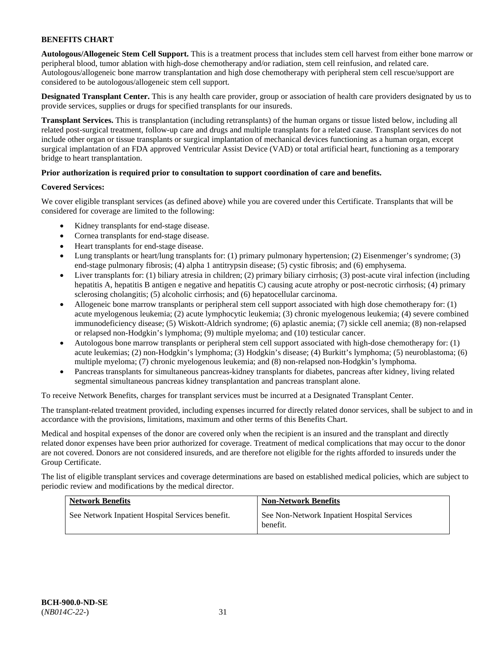**Autologous/Allogeneic Stem Cell Support.** This is a treatment process that includes stem cell harvest from either bone marrow or peripheral blood, tumor ablation with high-dose chemotherapy and/or radiation, stem cell reinfusion, and related care. Autologous/allogeneic bone marrow transplantation and high dose chemotherapy with peripheral stem cell rescue/support are considered to be autologous/allogeneic stem cell support.

**Designated Transplant Center.** This is any health care provider, group or association of health care providers designated by us to provide services, supplies or drugs for specified transplants for our insureds.

**Transplant Services.** This is transplantation (including retransplants) of the human organs or tissue listed below, including all related post-surgical treatment, follow-up care and drugs and multiple transplants for a related cause. Transplant services do not include other organ or tissue transplants or surgical implantation of mechanical devices functioning as a human organ, except surgical implantation of an FDA approved Ventricular Assist Device (VAD) or total artificial heart, functioning as a temporary bridge to heart transplantation.

# **Prior authorization is required prior to consultation to support coordination of care and benefits.**

# **Covered Services:**

We cover eligible transplant services (as defined above) while you are covered under this Certificate. Transplants that will be considered for coverage are limited to the following:

- Kidney transplants for end-stage disease.
- Cornea transplants for end-stage disease.
- Heart transplants for end-stage disease.
- Lung transplants or heart/lung transplants for: (1) primary pulmonary hypertension; (2) Eisenmenger's syndrome; (3) end-stage pulmonary fibrosis; (4) alpha 1 antitrypsin disease; (5) cystic fibrosis; and (6) emphysema.
- Liver transplants for: (1) biliary atresia in children; (2) primary biliary cirrhosis; (3) post-acute viral infection (including hepatitis A, hepatitis B antigen e negative and hepatitis C) causing acute atrophy or post-necrotic cirrhosis; (4) primary sclerosing cholangitis; (5) alcoholic cirrhosis; and (6) hepatocellular carcinoma.
- Allogeneic bone marrow transplants or peripheral stem cell support associated with high dose chemotherapy for: (1) acute myelogenous leukemia; (2) acute lymphocytic leukemia; (3) chronic myelogenous leukemia; (4) severe combined immunodeficiency disease; (5) Wiskott-Aldrich syndrome; (6) aplastic anemia; (7) sickle cell anemia; (8) non-relapsed or relapsed non-Hodgkin's lymphoma; (9) multiple myeloma; and (10) testicular cancer.
- Autologous bone marrow transplants or peripheral stem cell support associated with high-dose chemotherapy for: (1) acute leukemias; (2) non-Hodgkin's lymphoma; (3) Hodgkin's disease; (4) Burkitt's lymphoma; (5) neuroblastoma; (6) multiple myeloma; (7) chronic myelogenous leukemia; and (8) non-relapsed non-Hodgkin's lymphoma.
- Pancreas transplants for simultaneous pancreas-kidney transplants for diabetes, pancreas after kidney, living related segmental simultaneous pancreas kidney transplantation and pancreas transplant alone.

To receive Network Benefits, charges for transplant services must be incurred at a Designated Transplant Center.

The transplant-related treatment provided, including expenses incurred for directly related donor services, shall be subject to and in accordance with the provisions, limitations, maximum and other terms of this Benefits Chart.

Medical and hospital expenses of the donor are covered only when the recipient is an insured and the transplant and directly related donor expenses have been prior authorized for coverage. Treatment of medical complications that may occur to the donor are not covered. Donors are not considered insureds, and are therefore not eligible for the rights afforded to insureds under the Group Certificate.

The list of eligible transplant services and coverage determinations are based on established medical policies, which are subject to periodic review and modifications by the medical director.

| <b>Network Benefits</b>                          | <b>Non-Network Benefits</b>                             |
|--------------------------------------------------|---------------------------------------------------------|
| See Network Inpatient Hospital Services benefit. | See Non-Network Inpatient Hospital Services<br>benefit. |